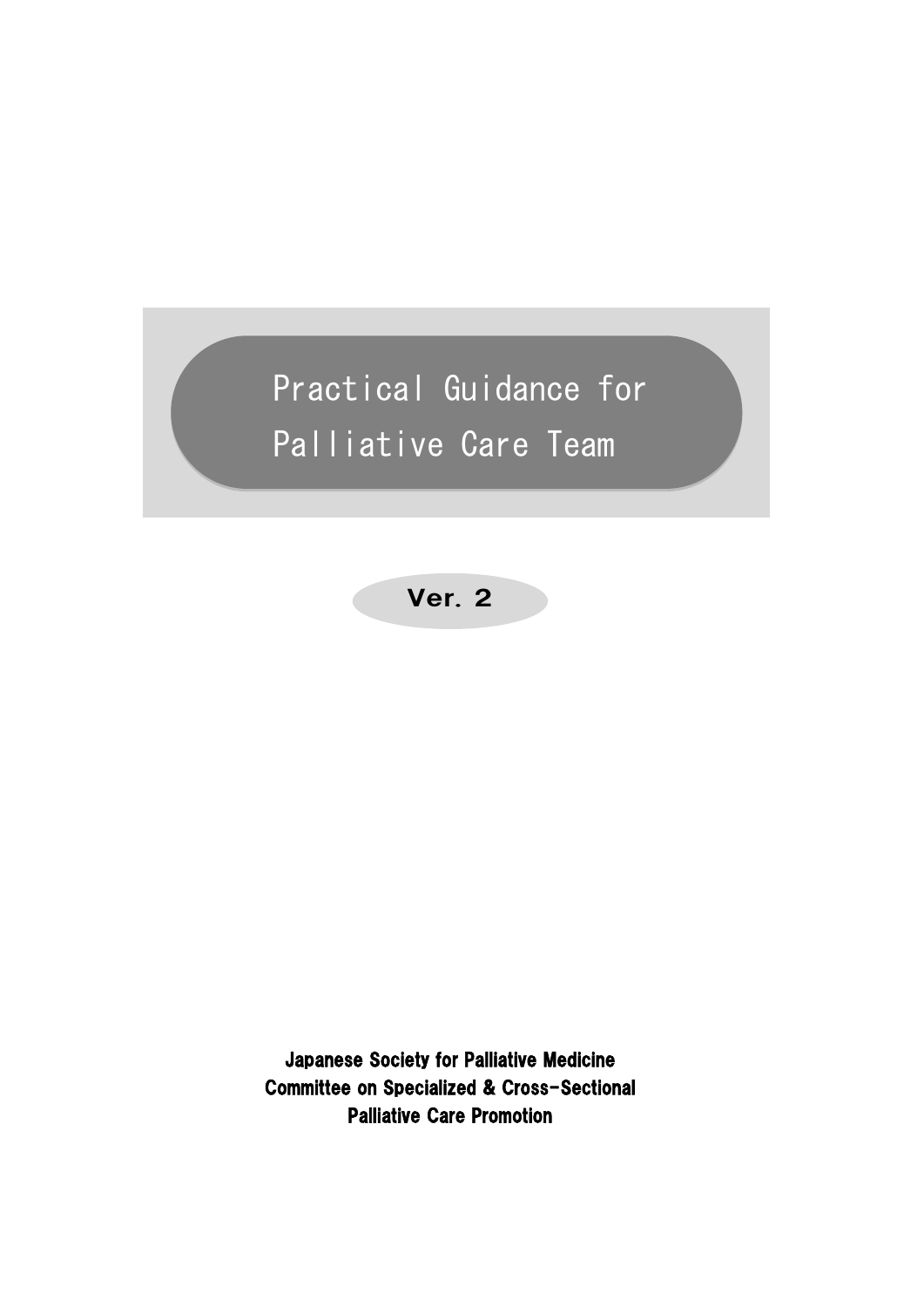Practical Guidance for Palliative Care Team

Ver. 2

Japanese Society for Palliative Medicine Committee on Specialized & Cross-Sectional Palliative Care Promotion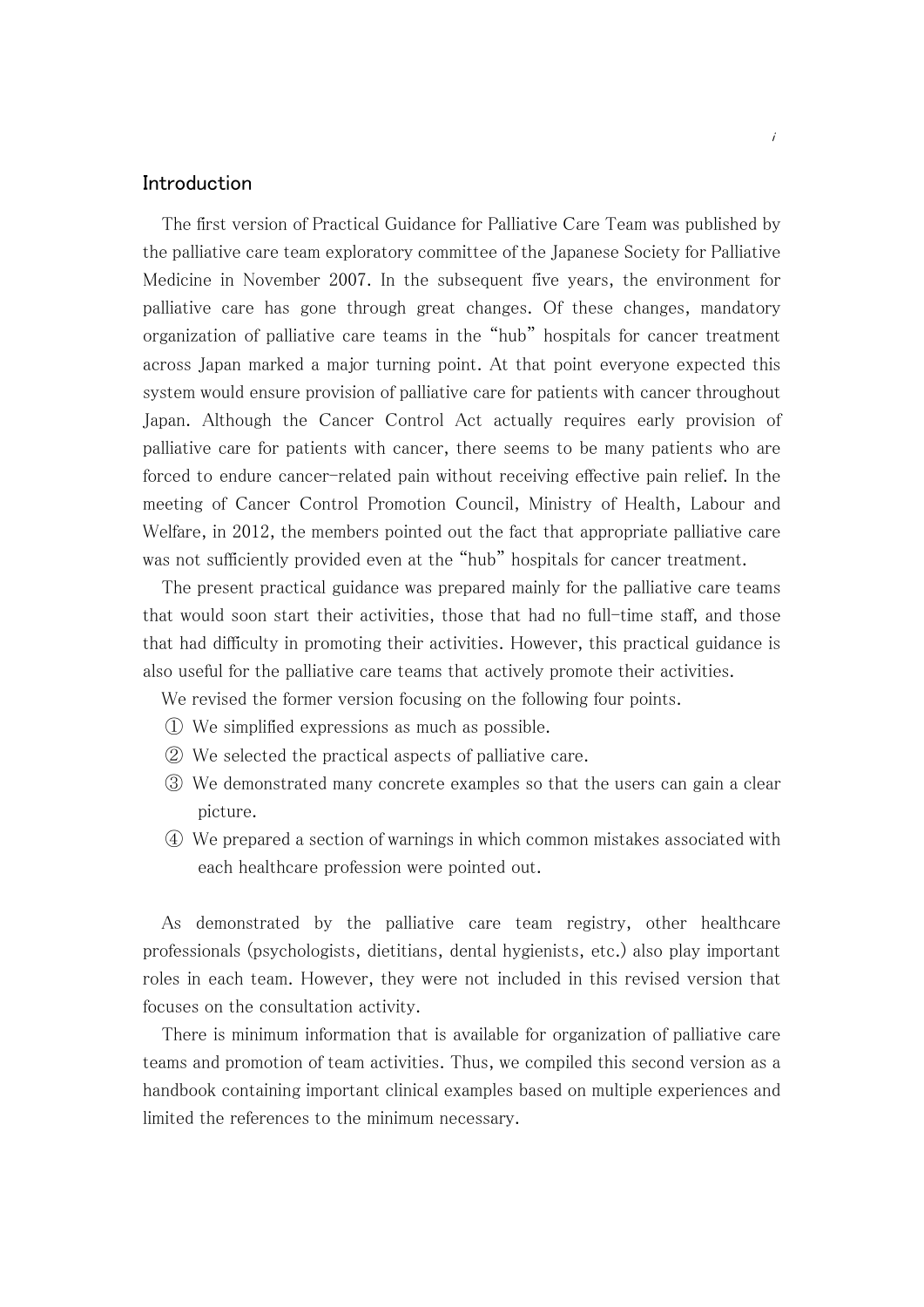## Introduction

The first version of Practical Guidance for Palliative Care Team was published by the palliative care team exploratory committee of the Japanese Society for Palliative Medicine in November 2007. In the subsequent five years, the environment for palliative care has gone through great changes. Of these changes, mandatory organization of palliative care teams in the "hub" hospitals for cancer treatment across Japan marked a major turning point. At that point everyone expected this system would ensure provision of palliative care for patients with cancer throughout Japan. Although the Cancer Control Act actually requires early provision of palliative care for patients with cancer, there seems to be many patients who are forced to endure cancer-related pain without receiving effective pain relief. In the meeting of Cancer Control Promotion Council, Ministry of Health, Labour and Welfare, in 2012, the members pointed out the fact that appropriate palliative care was not sufficiently provided even at the "hub" hospitals for cancer treatment.

 The present practical guidance was prepared mainly for the palliative care teams that would soon start their activities, those that had no full-time staff, and those that had difficulty in promoting their activities. However, this practical guidance is also useful for the palliative care teams that actively promote their activities.

We revised the former version focusing on the following four points.

- ① We simplified expressions as much as possible.
- ② We selected the practical aspects of palliative care.
- ③ We demonstrated many concrete examples so that the users can gain a clear picture.
- ④ We prepared a section of warnings in which common mistakes associated with each healthcare profession were pointed out.

 As demonstrated by the palliative care team registry, other healthcare professionals (psychologists, dietitians, dental hygienists, etc.) also play important roles in each team. However, they were not included in this revised version that focuses on the consultation activity.

 There is minimum information that is available for organization of palliative care teams and promotion of team activities. Thus, we compiled this second version as a handbook containing important clinical examples based on multiple experiences and limited the references to the minimum necessary.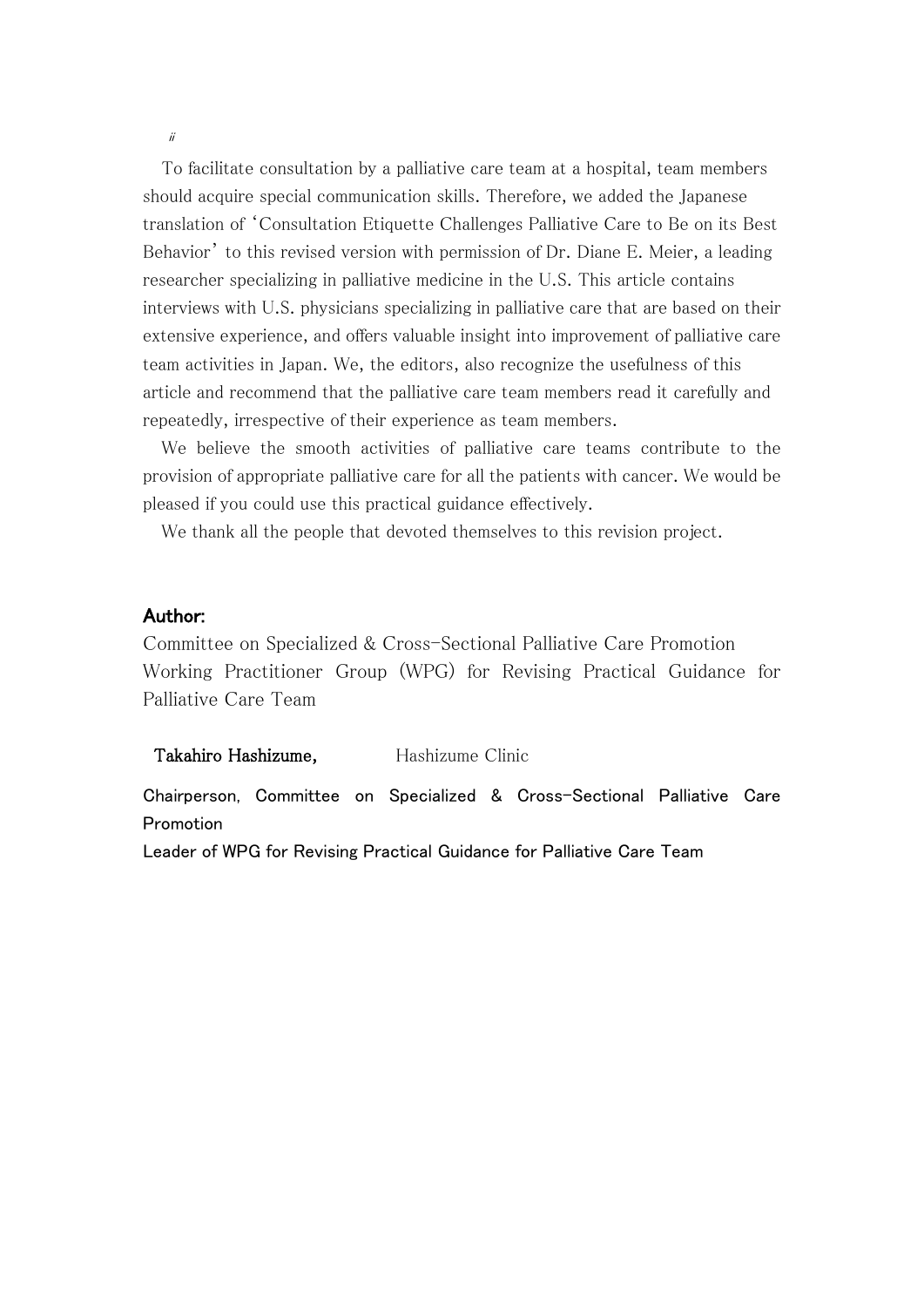To facilitate consultation by a palliative care team at a hospital, team members should acquire special communication skills. Therefore, we added the Japanese translation of 'Consultation Etiquette Challenges Palliative Care to Be on its Best Behavior' to this revised version with permission of Dr. Diane E. Meier, a leading researcher specializing in palliative medicine in the U.S. This article contains interviews with U.S. physicians specializing in palliative care that are based on their extensive experience, and offers valuable insight into improvement of palliative care team activities in Japan. We, the editors, also recognize the usefulness of this article and recommend that the palliative care team members read it carefully and repeatedly, irrespective of their experience as team members.

 We believe the smooth activities of palliative care teams contribute to the provision of appropriate palliative care for all the patients with cancer. We would be pleased if you could use this practical guidance effectively.

We thank all the people that devoted themselves to this revision project.

#### Author:

Committee on Specialized & Cross-Sectional Palliative Care Promotion Working Practitioner Group (WPG) for Revising Practical Guidance for Palliative Care Team

#### Takahiro Hashizume, Hashizume Clinic

Chairperson, Committee on Specialized & Cross-Sectional Palliative Care Promotion

Leader of WPG for Revising Practical Guidance for Palliative Care Team

ii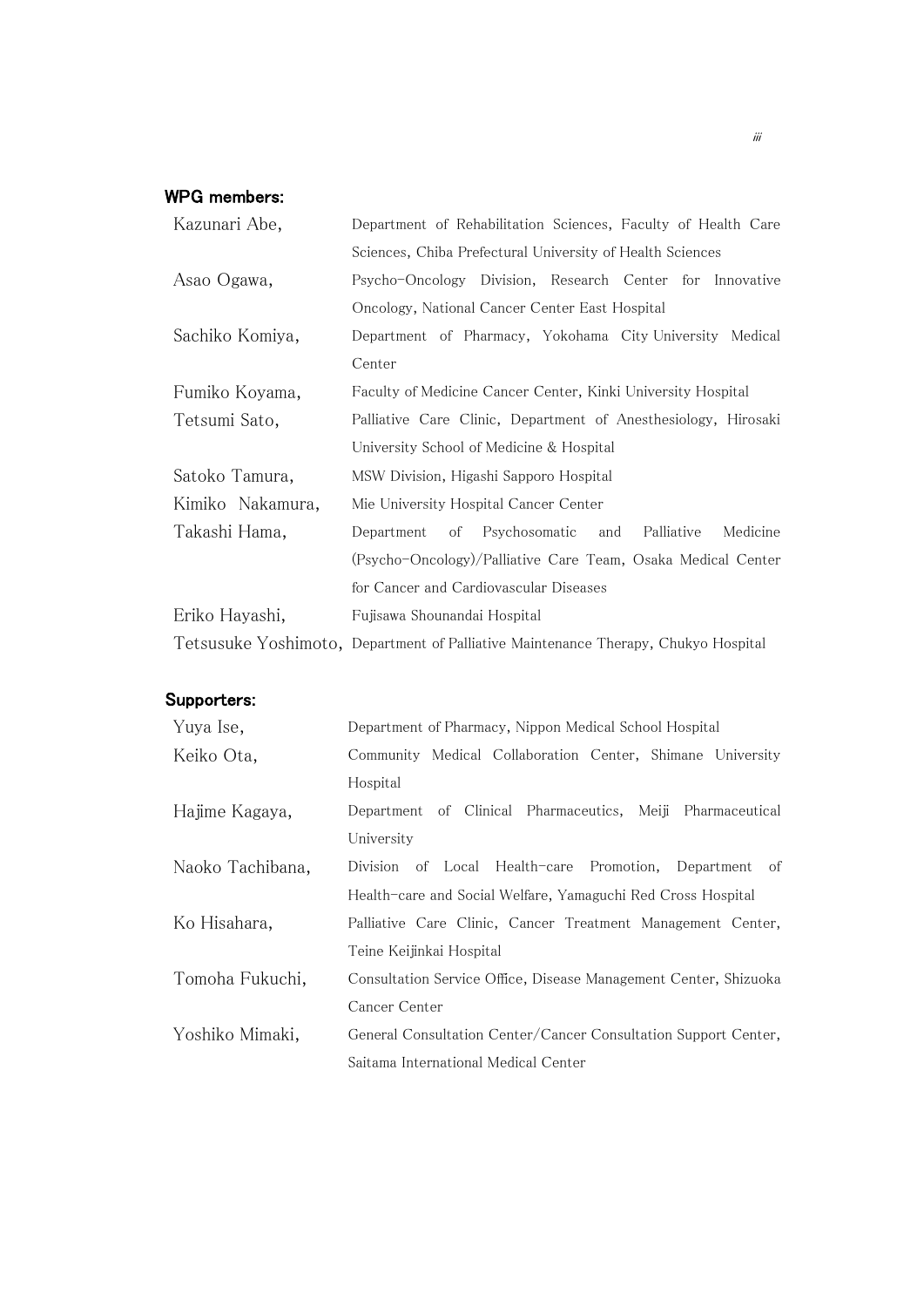## WPG members:

| Kazunari Abe,    | Department of Rehabilitation Sciences, Faculty of Health Care                      |  |  |
|------------------|------------------------------------------------------------------------------------|--|--|
|                  | Sciences, Chiba Prefectural University of Health Sciences                          |  |  |
| Asao Ogawa,      | Psycho-Oncology Division, Research Center for Innovative                           |  |  |
|                  | Oncology, National Cancer Center East Hospital                                     |  |  |
| Sachiko Komiya,  | Department of Pharmacy, Yokohama City-University Medical                           |  |  |
|                  | Center                                                                             |  |  |
| Fumiko Koyama,   | Faculty of Medicine Cancer Center, Kinki University Hospital                       |  |  |
| Tetsumi Sato,    | Palliative Care Clinic, Department of Anesthesiology, Hirosaki                     |  |  |
|                  | University School of Medicine & Hospital                                           |  |  |
| Satoko Tamura,   | MSW Division, Higashi Sapporo Hospital                                             |  |  |
| Kimiko Nakamura, | Mie University Hospital Cancer Center                                              |  |  |
| Takashi Hama,    | Department of Psychosomatic and<br>Palliative<br>Medicine                          |  |  |
|                  | (Psycho-Oncology)/Palliative Care Team, Osaka Medical Center                       |  |  |
|                  | for Cancer and Cardiovascular Diseases                                             |  |  |
| Eriko Hayashi,   | Fujisawa Shounandai Hospital                                                       |  |  |
|                  | Tetsusuke Yoshimoto, Department of Palliative Maintenance Therapy, Chukyo Hospital |  |  |

## Supporters:

| Yuya Ise,        | Department of Pharmacy, Nippon Medical School Hospital           |  |  |
|------------------|------------------------------------------------------------------|--|--|
| Keiko Ota,       | Community Medical Collaboration Center, Shimane University       |  |  |
|                  | Hospital                                                         |  |  |
| Hajime Kagaya,   | Department of Clinical Pharmaceutics, Meiji Pharmaceutical       |  |  |
|                  | University                                                       |  |  |
| Naoko Tachibana, | of Local Health-care Promotion, Department of<br>Division        |  |  |
|                  | Health-care and Social Welfare, Yamaguchi Red Cross Hospital     |  |  |
| Ko Hisahara,     | Palliative Care Clinic, Cancer Treatment Management Center,      |  |  |
|                  | Teine Keijinkai Hospital                                         |  |  |
| Tomoha Fukuchi,  | Consultation Service Office, Disease Management Center, Shizuoka |  |  |
|                  | Cancer Center                                                    |  |  |
| Yoshiko Mimaki,  | General Consultation Center/Cancer Consultation Support Center,  |  |  |
|                  | Saitama International Medical Center                             |  |  |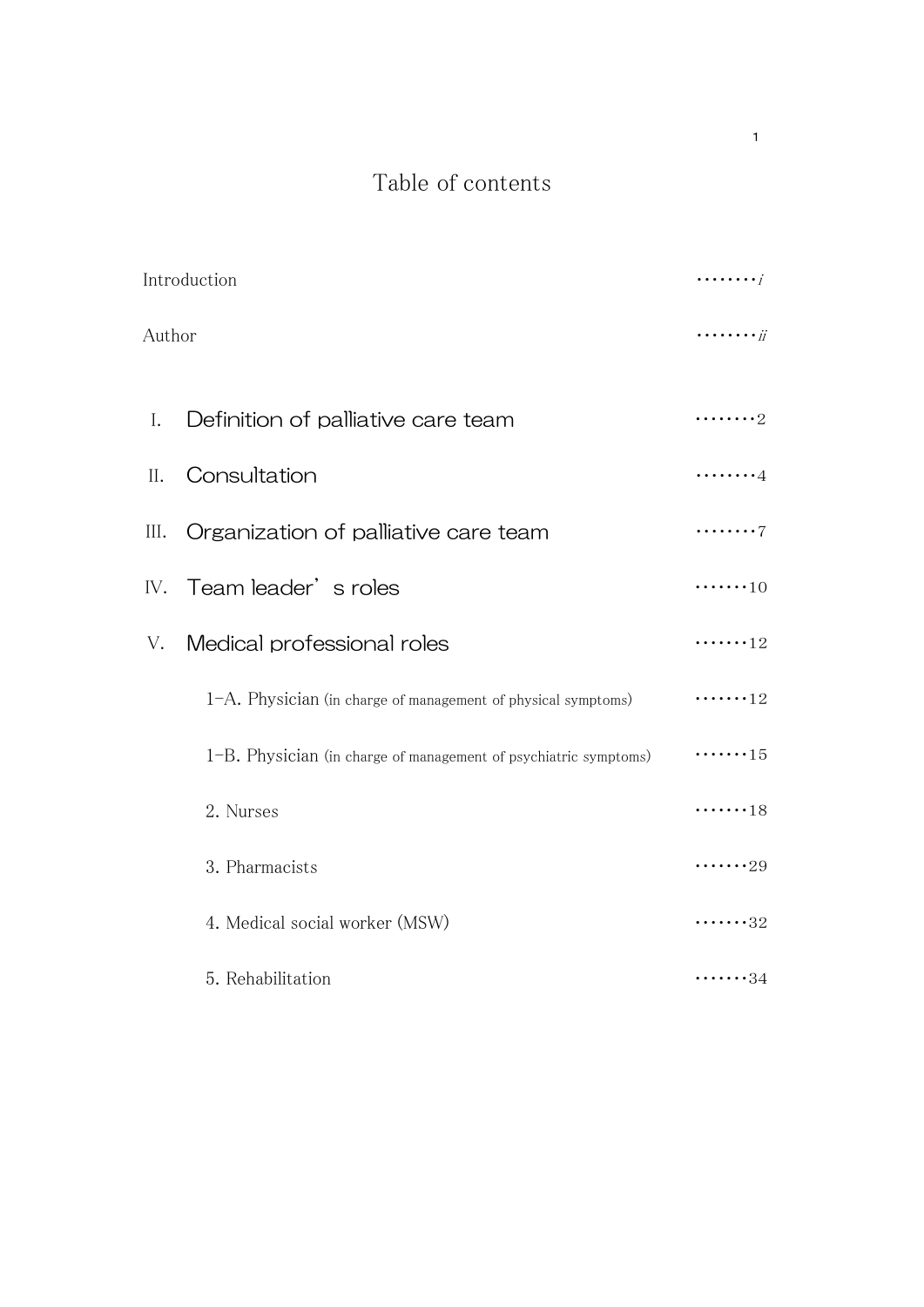# Table of contents

1

|      | $\cdots \cdots$                                                                    |                    |
|------|------------------------------------------------------------------------------------|--------------------|
|      | Introduction<br>Author<br>Definition of palliative care team<br>Ι.<br>Consultation |                    |
|      |                                                                                    | . 2                |
| II.  |                                                                                    | . 4                |
| III. | Organization of palliative care team                                               | . 7                |
|      | IV. Team leader's roles                                                            | $\cdots \cdots 10$ |
| V.   | Medical professional roles                                                         | $\cdots \cdots 12$ |
|      | 1-A. Physician (in charge of management of physical symptoms)                      | $\cdots \cdots 12$ |
|      | 1-B. Physician (in charge of management of psychiatric symptoms)                   |                    |
|      | 2. Nurses                                                                          | $\cdots \cdots 18$ |
|      | 3. Pharmacists                                                                     | $\cdots \cdots 29$ |
|      | 4. Medical social worker (MSW)                                                     | $\cdots \cdots 32$ |
|      | 5. Rehabilitation                                                                  | $\cdots \cdots 34$ |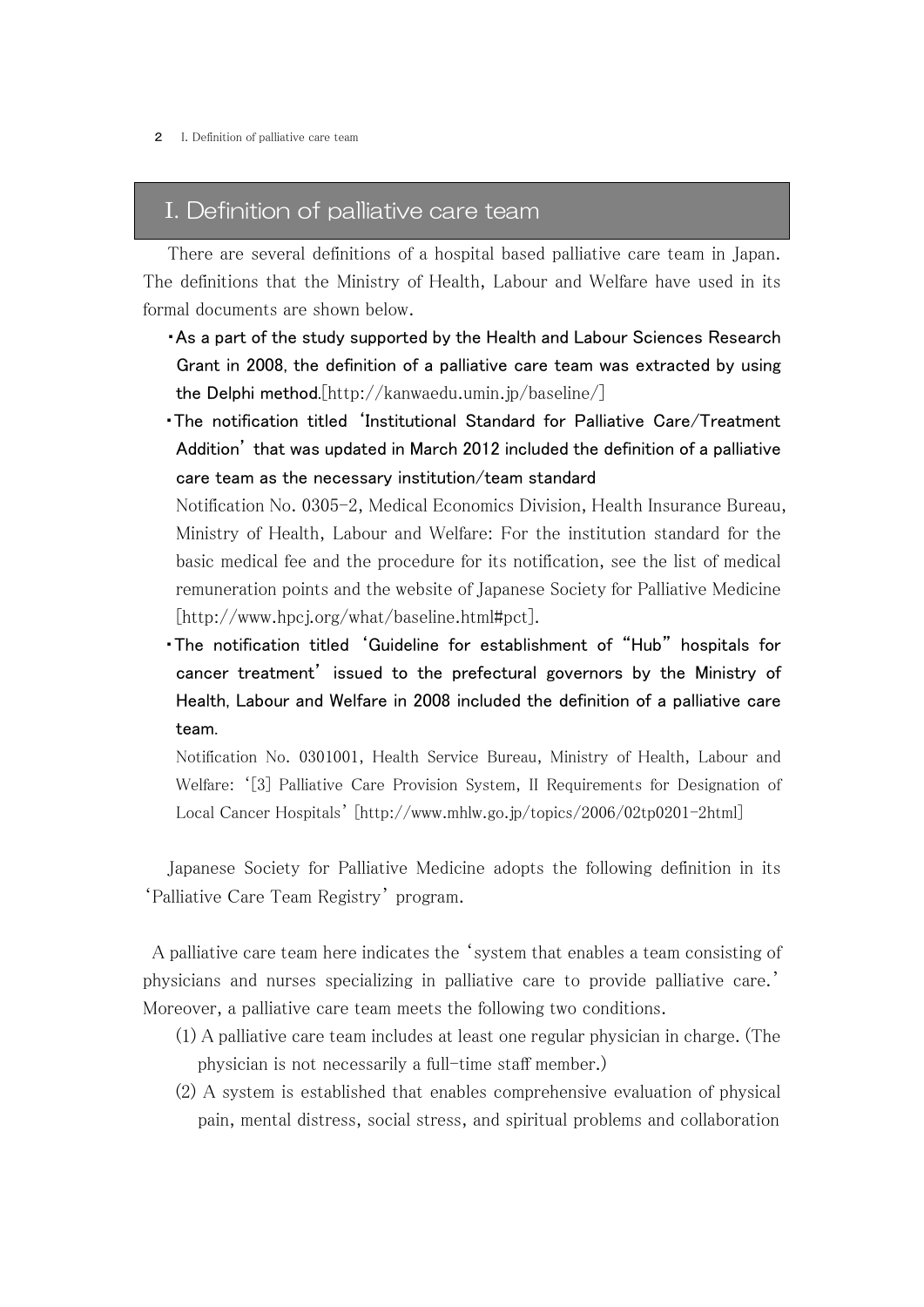## I. Definition of palliative care team

 There are several definitions of a hospital based palliative care team in Japan. The definitions that the Ministry of Health, Labour and Welfare have used in its formal documents are shown below.

- ・As a part of the study supported by the Health and Labour Sciences Research Grant in 2008, the definition of a palliative care team was extracted by using the Delphi method.[http://kanwaedu.umin.jp/baseline/]
- ・The notification titled 'Institutional Standard for Palliative Care/Treatment Addition' that was updated in March 2012 included the definition of a palliative care team as the necessary institution/team standard

Notification No. 0305-2, Medical Economics Division, Health Insurance Bureau, Ministry of Health, Labour and Welfare: For the institution standard for the basic medical fee and the procedure for its notification, see the list of medical remuneration points and the website of Japanese Society for Palliative Medicine [http://www.hpcj.org/what/baseline.html#pct].

・The notification titled 'Guideline for establishment of "Hub" hospitals for cancer treatment' issued to the prefectural governors by the Ministry of Health, Labour and Welfare in 2008 included the definition of a palliative care team.

Notification No. 0301001, Health Service Bureau, Ministry of Health, Labour and Welfare: '[3] Palliative Care Provision System, II Requirements for Designation of Local Cancer Hospitals' [http://www.mhlw.go.jp/topics/2006/02tp0201-2html]

 Japanese Society for Palliative Medicine adopts the following definition in its 'Palliative Care Team Registry' program.

A palliative care team here indicates the 'system that enables a team consisting of physicians and nurses specializing in palliative care to provide palliative care.' Moreover, a palliative care team meets the following two conditions.

- (1) A palliative care team includes at least one regular physician in charge. (The physician is not necessarily a full-time staff member.)
- (2) A system is established that enables comprehensive evaluation of physical pain, mental distress, social stress, and spiritual problems and collaboration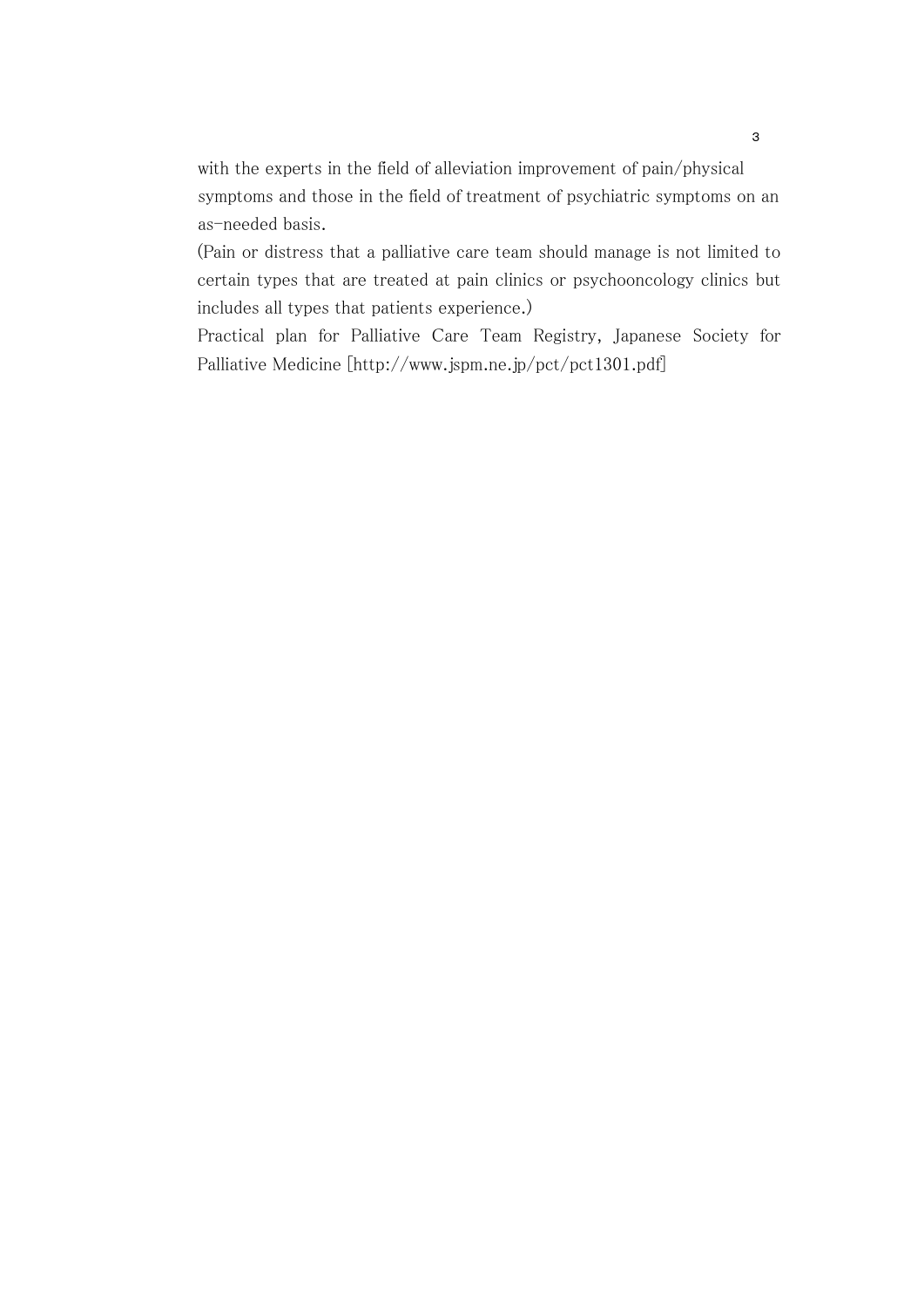with the experts in the field of alleviation improvement of pain/physical symptoms and those in the field of treatment of psychiatric symptoms on an as-needed basis.

(Pain or distress that a palliative care team should manage is not limited to certain types that are treated at pain clinics or psychooncology clinics but includes all types that patients experience.)

Practical plan for Palliative Care Team Registry, Japanese Society for Palliative Medicine [http://www.jspm.ne.jp/pct/pct1301.pdf]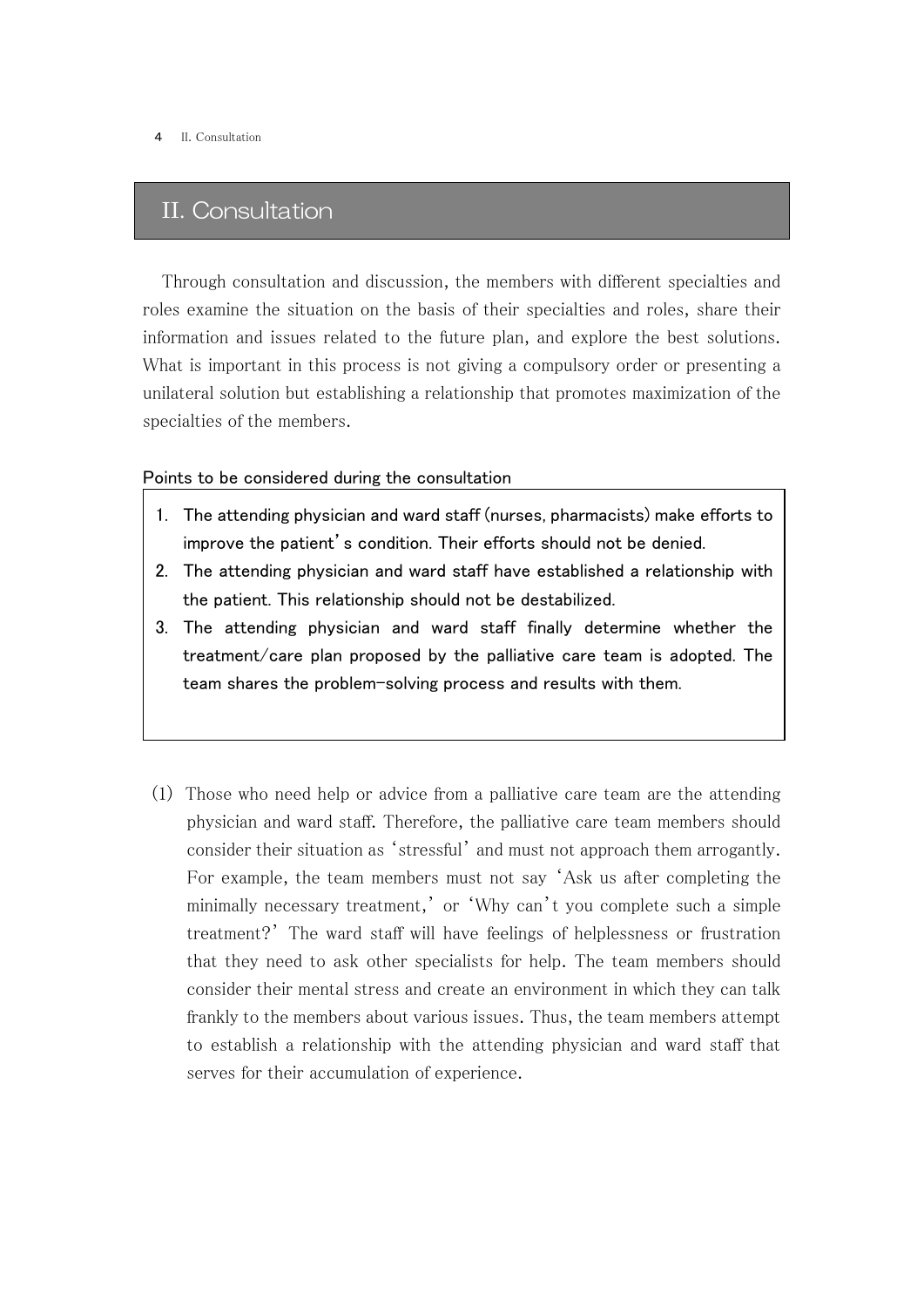# II. Consultation

Through consultation and discussion, the members with different specialties and roles examine the situation on the basis of their specialties and roles, share their information and issues related to the future plan, and explore the best solutions. What is important in this process is not giving a compulsory order or presenting a unilateral solution but establishing a relationship that promotes maximization of the specialties of the members.

#### Points to be considered during the consultation

- 1. The attending physician and ward staff (nurses, pharmacists) make efforts to improve the patient's condition. Their efforts should not be denied.
- 2. The attending physician and ward staff have established a relationship with the patient. This relationship should not be destabilized.
- 3. The attending physician and ward staff finally determine whether the treatment/care plan proposed by the palliative care team is adopted. The team shares the problem-solving process and results with them.
- (1) Those who need help or advice from a palliative care team are the attending physician and ward staff. Therefore, the palliative care team members should consider their situation as 'stressful' and must not approach them arrogantly. For example, the team members must not say 'Ask us after completing the minimally necessary treatment,' or 'Why can't you complete such a simple treatment?' The ward staff will have feelings of helplessness or frustration that they need to ask other specialists for help. The team members should consider their mental stress and create an environment in which they can talk frankly to the members about various issues. Thus, the team members attempt to establish a relationship with the attending physician and ward staff that serves for their accumulation of experience.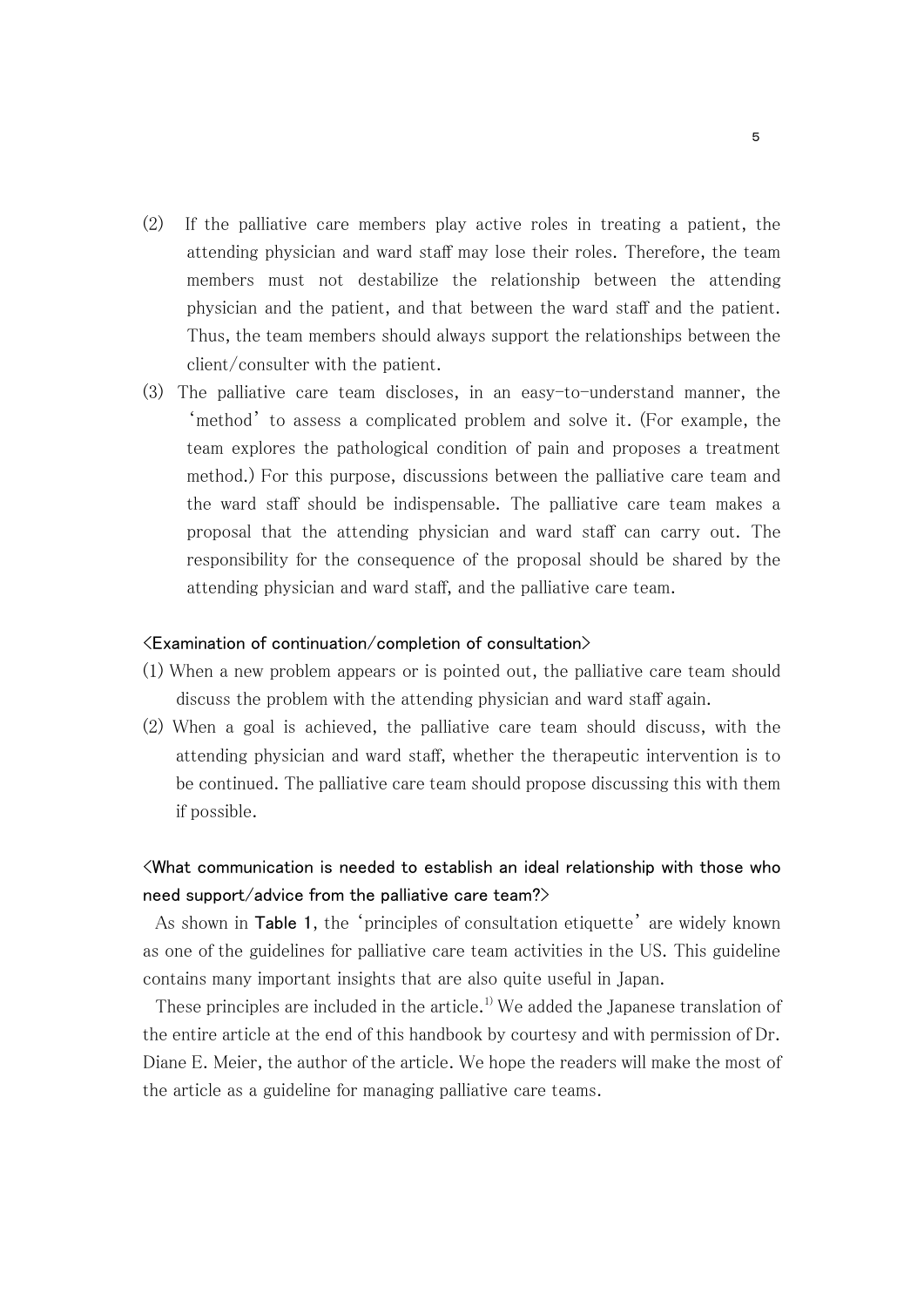- (2) If the palliative care members play active roles in treating a patient, the attending physician and ward staff may lose their roles. Therefore, the team members must not destabilize the relationship between the attending physician and the patient, and that between the ward staff and the patient. Thus, the team members should always support the relationships between the client/consulter with the patient.
- (3) The palliative care team discloses, in an easy-to-understand manner, the 'method' to assess a complicated problem and solve it. (For example, the team explores the pathological condition of pain and proposes a treatment method.) For this purpose, discussions between the palliative care team and the ward staff should be indispensable. The palliative care team makes a proposal that the attending physician and ward staff can carry out. The responsibility for the consequence of the proposal should be shared by the attending physician and ward staff, and the palliative care team.

#### $\langle$ Examination of continuation/completion of consultation $\rangle$

- (1) When a new problem appears or is pointed out, the palliative care team should discuss the problem with the attending physician and ward staff again.
- (2) When a goal is achieved, the palliative care team should discuss, with the attending physician and ward staff, whether the therapeutic intervention is to be continued. The palliative care team should propose discussing this with them if possible.

## <What communication is needed to establish an ideal relationship with those who need support/advice from the palliative care team?>

As shown in Table 1, the 'principles of consultation etiquette' are widely known as one of the guidelines for palliative care team activities in the US. This guideline contains many important insights that are also quite useful in Japan.

These principles are included in the article.<sup>1</sup> We added the Japanese translation of the entire article at the end of this handbook by courtesy and with permission of Dr. Diane E. Meier, the author of the article. We hope the readers will make the most of the article as a guideline for managing palliative care teams.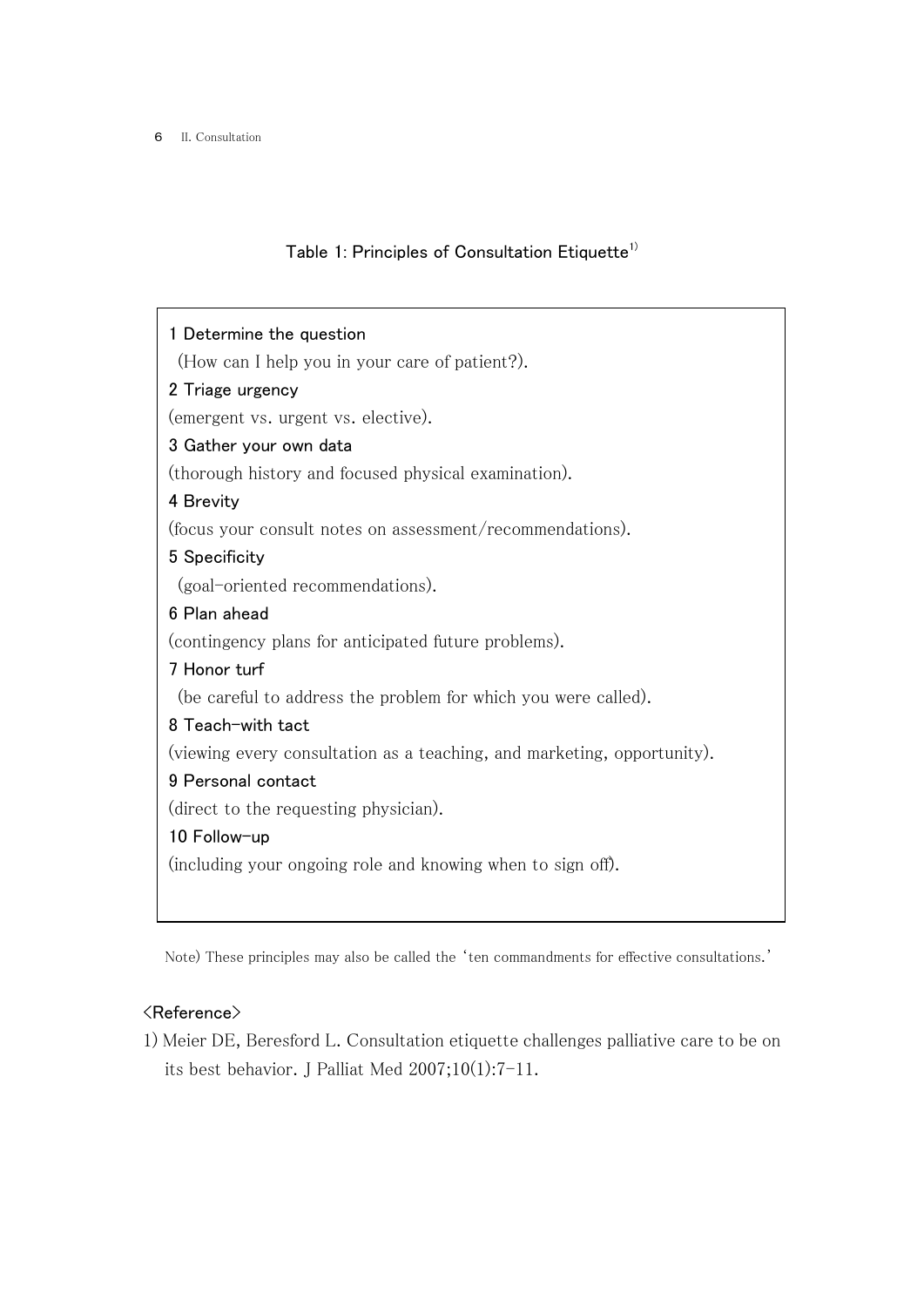# Table 1: Principles of Consultation Etiquette<sup>1)</sup>

| 1 Determine the question                                                |  |  |  |  |
|-------------------------------------------------------------------------|--|--|--|--|
| (How can I help you in your care of patient?).                          |  |  |  |  |
| 2 Triage urgency                                                        |  |  |  |  |
| (emergent vs. urgent vs. elective).                                     |  |  |  |  |
| 3 Gather your own data                                                  |  |  |  |  |
| (thorough history and focused physical examination).                    |  |  |  |  |
| 4 Brevity                                                               |  |  |  |  |
| (focus your consult notes on assessment/recommendations).               |  |  |  |  |
| 5 Specificity                                                           |  |  |  |  |
| (goal-oriented recommendations).                                        |  |  |  |  |
| 6 Plan ahead                                                            |  |  |  |  |
| (contingency plans for anticipated future problems).                    |  |  |  |  |
| 7 Honor turf                                                            |  |  |  |  |
| (be careful to address the problem for which you were called).          |  |  |  |  |
| 8 Teach-with tact                                                       |  |  |  |  |
| (viewing every consultation as a teaching, and marketing, opportunity). |  |  |  |  |
| 9 Personal contact                                                      |  |  |  |  |
| (direct to the requesting physician).                                   |  |  |  |  |
| 10 Follow-up                                                            |  |  |  |  |
| (including your ongoing role and knowing when to sign off).             |  |  |  |  |
|                                                                         |  |  |  |  |

Note) These principles may also be called the 'ten commandments for effective consultations.'

## <Reference>

1) Meier DE, Beresford L. Consultation etiquette challenges palliative care to be on its best behavior. J Palliat Med 2007;10(1):7-11.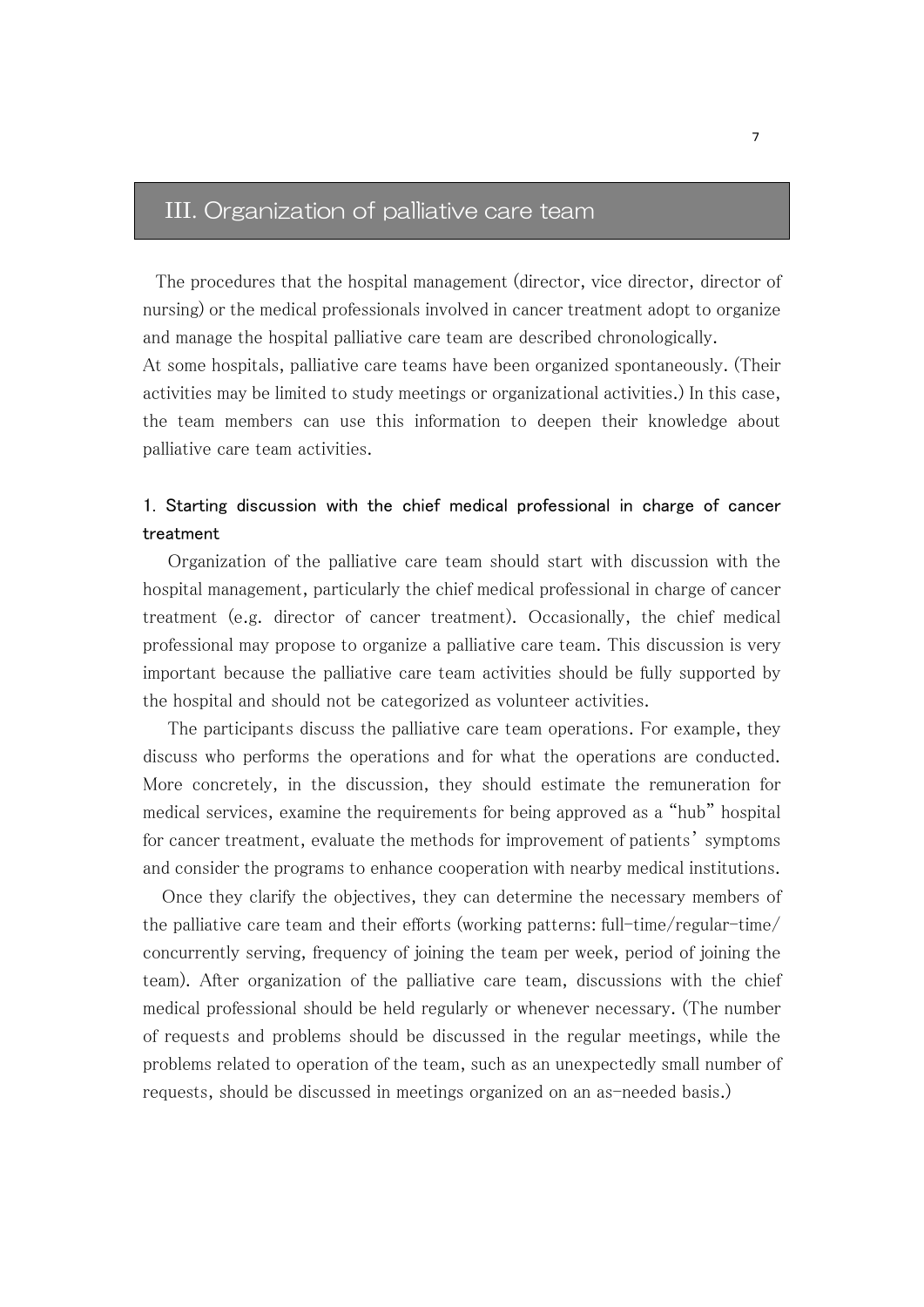# III. Organization of palliative care team

The procedures that the hospital management (director, vice director, director of nursing) or the medical professionals involved in cancer treatment adopt to organize and manage the hospital palliative care team are described chronologically. At some hospitals, palliative care teams have been organized spontaneously. (Their

activities may be limited to study meetings or organizational activities.) In this case, the team members can use this information to deepen their knowledge about palliative care team activities.

## 1. Starting discussion with the chief medical professional in charge of cancer treatment

 Organization of the palliative care team should start with discussion with the hospital management, particularly the chief medical professional in charge of cancer treatment (e.g. director of cancer treatment). Occasionally, the chief medical professional may propose to organize a palliative care team. This discussion is very important because the palliative care team activities should be fully supported by the hospital and should not be categorized as volunteer activities.

 The participants discuss the palliative care team operations. For example, they discuss who performs the operations and for what the operations are conducted. More concretely, in the discussion, they should estimate the remuneration for medical services, examine the requirements for being approved as a "hub" hospital for cancer treatment, evaluate the methods for improvement of patients' symptoms and consider the programs to enhance cooperation with nearby medical institutions.

 Once they clarify the objectives, they can determine the necessary members of the palliative care team and their efforts (working patterns: full-time/regular-time/ concurrently serving, frequency of joining the team per week, period of joining the team). After organization of the palliative care team, discussions with the chief medical professional should be held regularly or whenever necessary. (The number of requests and problems should be discussed in the regular meetings, while the problems related to operation of the team, such as an unexpectedly small number of requests, should be discussed in meetings organized on an as-needed basis.)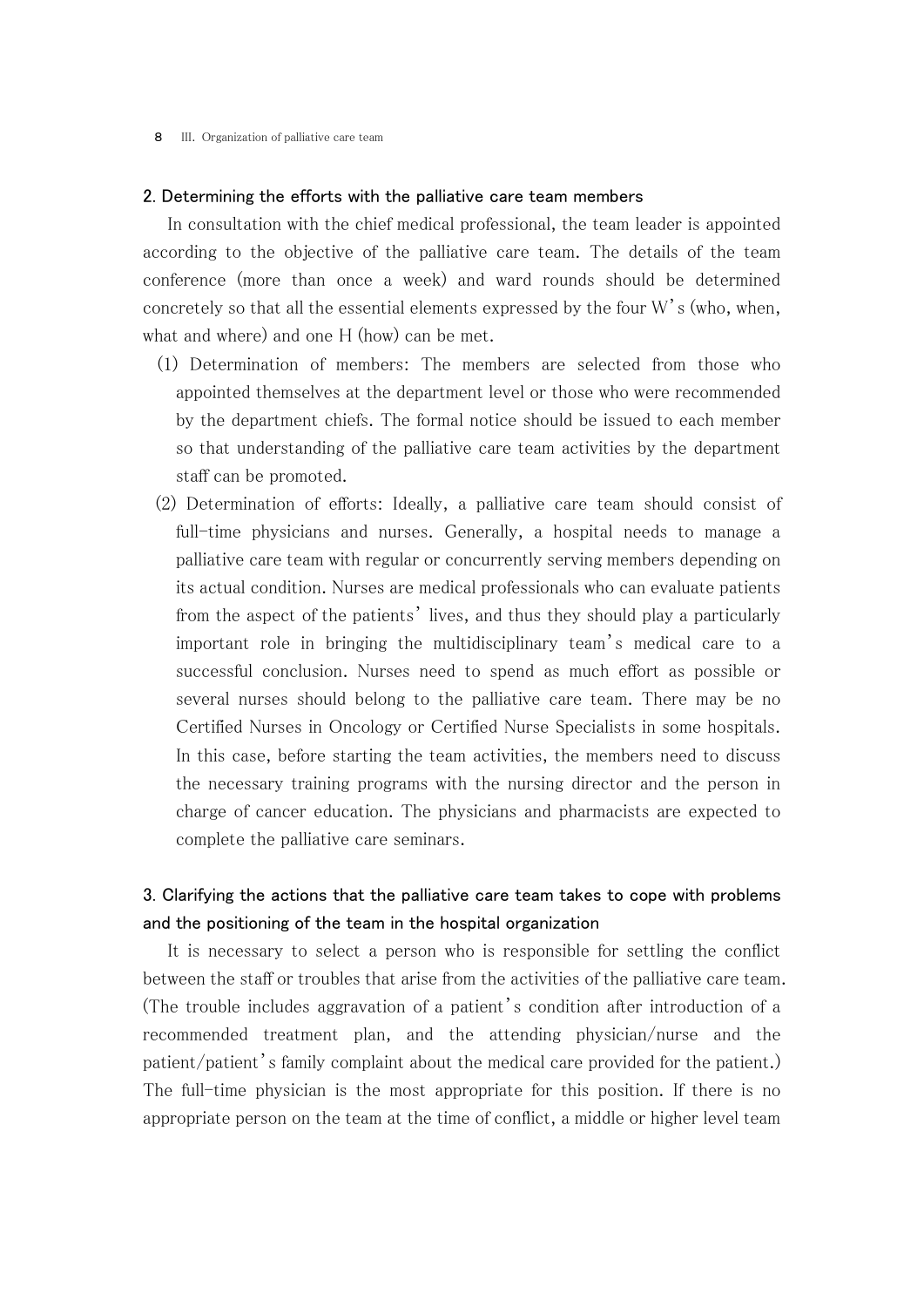#### 8 III. Organization of palliative care team

#### 2. Determining the efforts with the palliative care team members

 In consultation with the chief medical professional, the team leader is appointed according to the objective of the palliative care team. The details of the team conference (more than once a week) and ward rounds should be determined concretely so that all the essential elements expressed by the four W's (who, when, what and where) and one H (how) can be met.

- (1) Determination of members: The members are selected from those who appointed themselves at the department level or those who were recommended by the department chiefs. The formal notice should be issued to each member so that understanding of the palliative care team activities by the department staff can be promoted.
- (2) Determination of efforts: Ideally, a palliative care team should consist of full-time physicians and nurses. Generally, a hospital needs to manage a palliative care team with regular or concurrently serving members depending on its actual condition. Nurses are medical professionals who can evaluate patients from the aspect of the patients' lives, and thus they should play a particularly important role in bringing the multidisciplinary team's medical care to a successful conclusion. Nurses need to spend as much effort as possible or several nurses should belong to the palliative care team. There may be no Certified Nurses in Oncology or Certified Nurse Specialists in some hospitals. In this case, before starting the team activities, the members need to discuss the necessary training programs with the nursing director and the person in charge of cancer education. The physicians and pharmacists are expected to complete the palliative care seminars.

## 3. Clarifying the actions that the palliative care team takes to cope with problems and the positioning of the team in the hospital organization

 It is necessary to select a person who is responsible for settling the conflict between the staff or troubles that arise from the activities of the palliative care team. (The trouble includes aggravation of a patient's condition after introduction of a recommended treatment plan, and the attending physician/nurse and the patient/patient's family complaint about the medical care provided for the patient.) The full-time physician is the most appropriate for this position. If there is no appropriate person on the team at the time of conflict, a middle or higher level team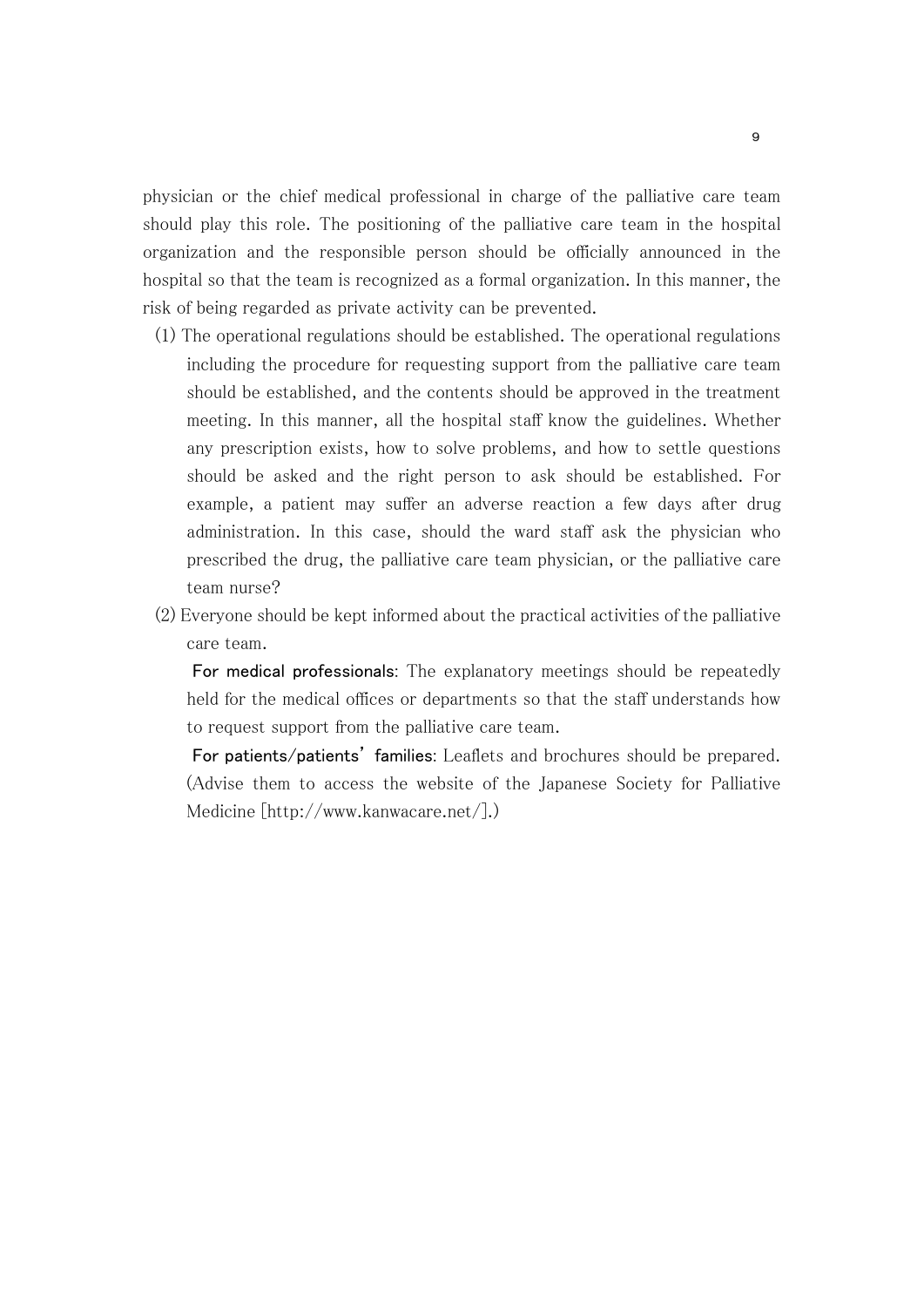physician or the chief medical professional in charge of the palliative care team should play this role. The positioning of the palliative care team in the hospital organization and the responsible person should be officially announced in the hospital so that the team is recognized as a formal organization. In this manner, the risk of being regarded as private activity can be prevented.

- (1) The operational regulations should be established. The operational regulations including the procedure for requesting support from the palliative care team should be established, and the contents should be approved in the treatment meeting. In this manner, all the hospital staff know the guidelines. Whether any prescription exists, how to solve problems, and how to settle questions should be asked and the right person to ask should be established. For example, a patient may suffer an adverse reaction a few days after drug administration. In this case, should the ward staff ask the physician who prescribed the drug, the palliative care team physician, or the palliative care team nurse?
- (2) Everyone should be kept informed about the practical activities of the palliative care team.

 For medical professionals: The explanatory meetings should be repeatedly held for the medical offices or departments so that the staff understands how to request support from the palliative care team.

 For patients/patients' families: Leaflets and brochures should be prepared. (Advise them to access the website of the Japanese Society for Palliative Medicine [http://www.kanwacare.net/].)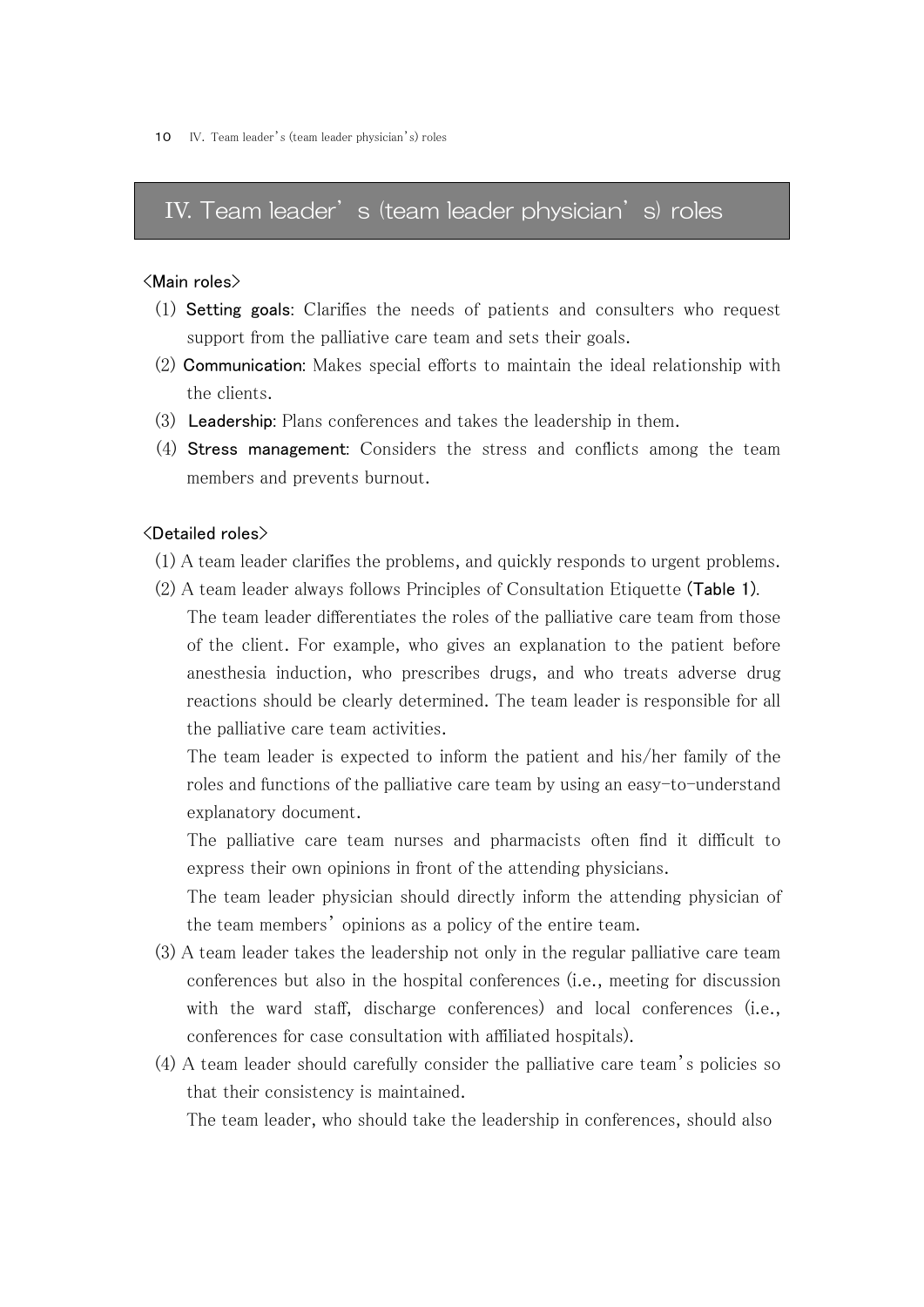## IV. Team leader's (team leader physician's) roles

#### <Main roles>

- (1) Setting goals: Clarifies the needs of patients and consulters who request support from the palliative care team and sets their goals.
- (2) Communication: Makes special efforts to maintain the ideal relationship with the clients.
- (3) Leadership: Plans conferences and takes the leadership in them.
- (4) Stress management: Considers the stress and conflicts among the team members and prevents burnout.

#### <Detailed roles>

- (1) A team leader clarifies the problems, and quickly responds to urgent problems.
- (2) A team leader always follows Principles of Consultation Etiquette (Table 1). The team leader differentiates the roles of the palliative care team from those of the client. For example, who gives an explanation to the patient before anesthesia induction, who prescribes drugs, and who treats adverse drug reactions should be clearly determined. The team leader is responsible for all the palliative care team activities.

The team leader is expected to inform the patient and his/her family of the roles and functions of the palliative care team by using an easy-to-understand explanatory document.

The palliative care team nurses and pharmacists often find it difficult to express their own opinions in front of the attending physicians.

The team leader physician should directly inform the attending physician of the team members' opinions as a policy of the entire team.

- (3) A team leader takes the leadership not only in the regular palliative care team conferences but also in the hospital conferences (i.e., meeting for discussion with the ward staff, discharge conferences) and local conferences (i.e., conferences for case consultation with affiliated hospitals).
- (4) A team leader should carefully consider the palliative care team's policies so that their consistency is maintained.

The team leader, who should take the leadership in conferences, should also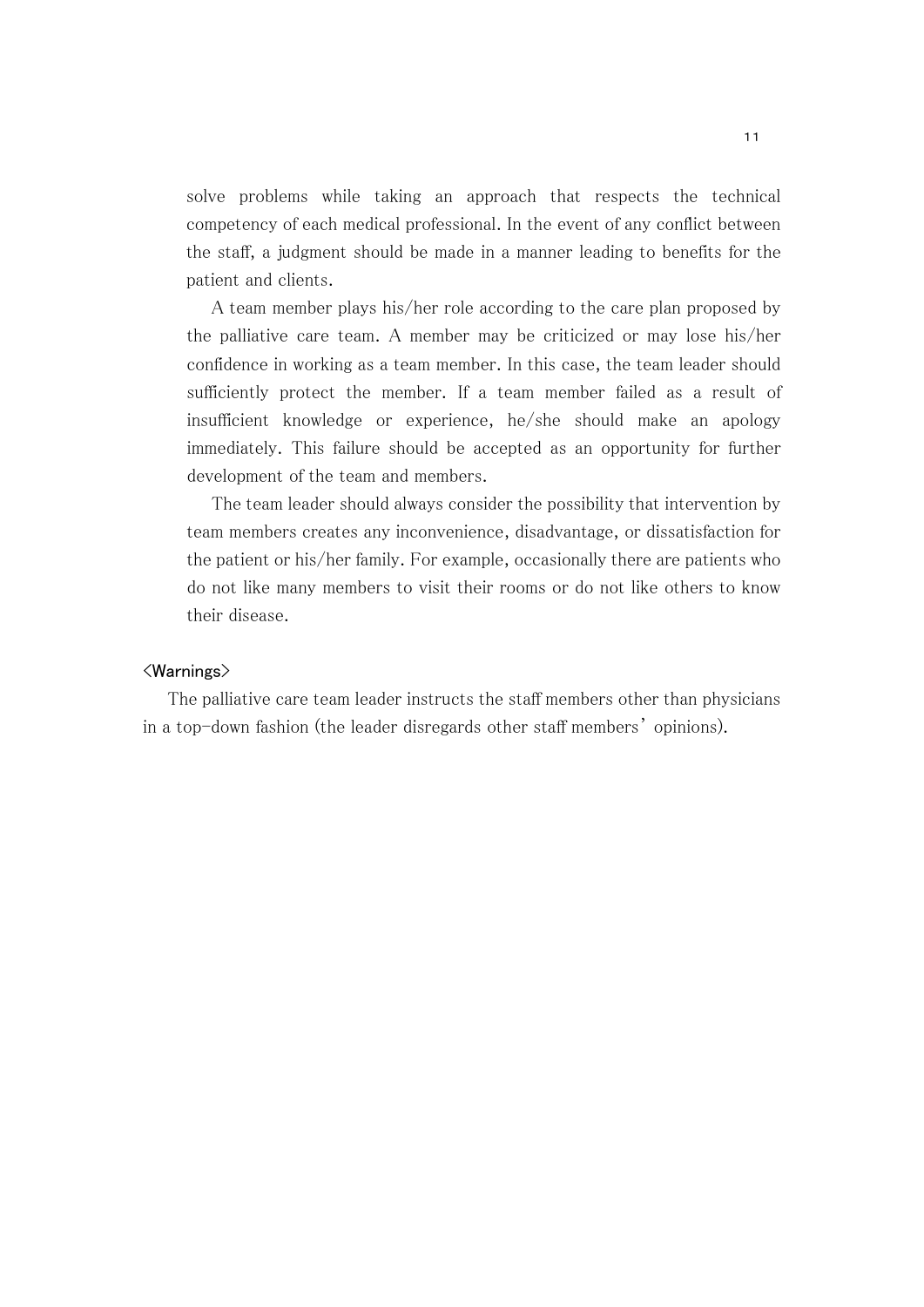solve problems while taking an approach that respects the technical competency of each medical professional. In the event of any conflict between the staff, a judgment should be made in a manner leading to benefits for the patient and clients.

 A team member plays his/her role according to the care plan proposed by the palliative care team. A member may be criticized or may lose his/her confidence in working as a team member. In this case, the team leader should sufficiently protect the member. If a team member failed as a result of insufficient knowledge or experience, he/she should make an apology immediately. This failure should be accepted as an opportunity for further development of the team and members.

 The team leader should always consider the possibility that intervention by team members creates any inconvenience, disadvantage, or dissatisfaction for the patient or his/her family. For example, occasionally there are patients who do not like many members to visit their rooms or do not like others to know their disease.

#### <Warnings>

 The palliative care team leader instructs the staff members other than physicians in a top-down fashion (the leader disregards other staff members' opinions).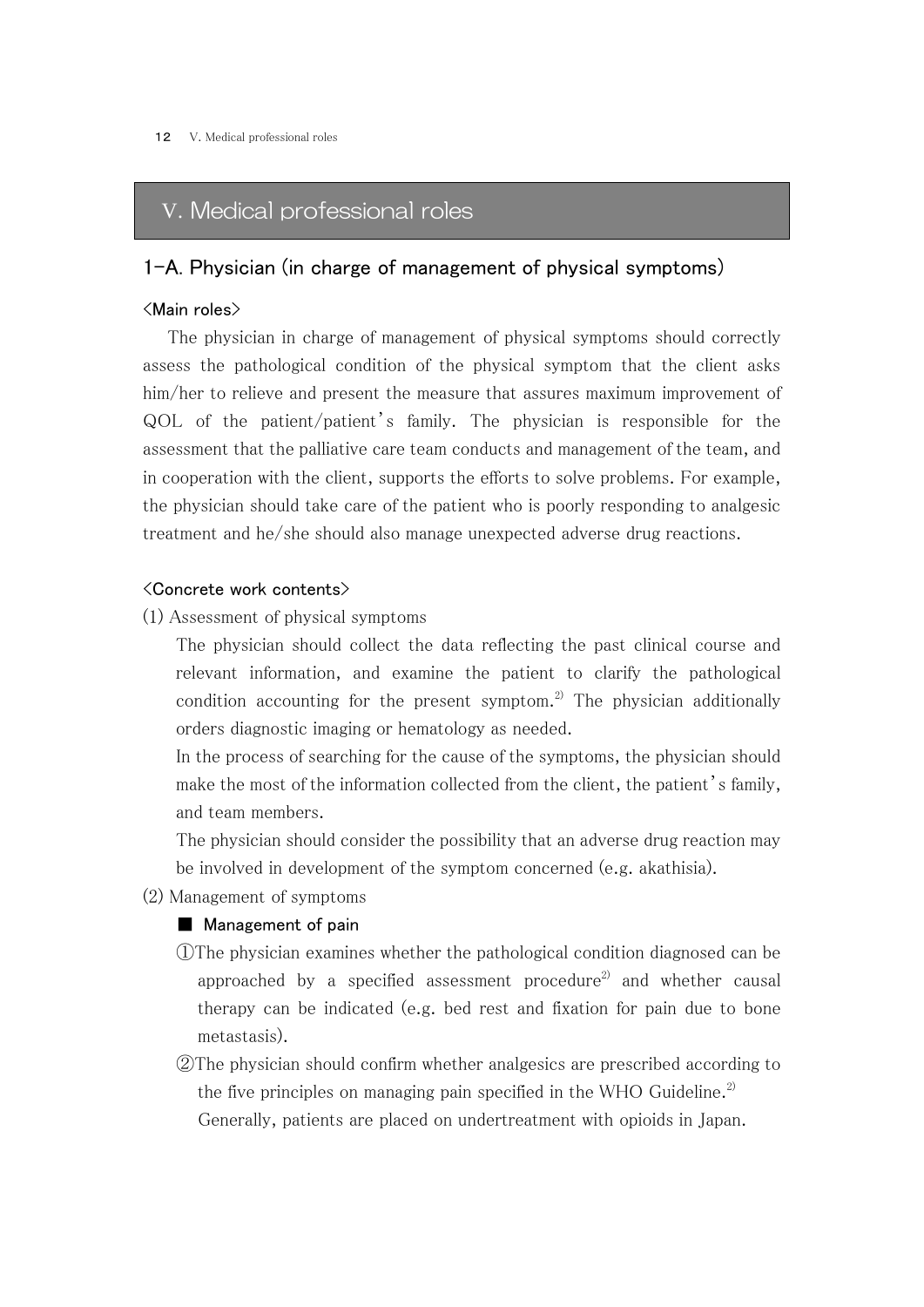# V. Medical professional roles

## 1-A. Physician (in charge of management of physical symptoms)

#### <Main roles>

 The physician in charge of management of physical symptoms should correctly assess the pathological condition of the physical symptom that the client asks him/her to relieve and present the measure that assures maximum improvement of QOL of the patient/patient's family. The physician is responsible for the assessment that the palliative care team conducts and management of the team, and in cooperation with the client, supports the efforts to solve problems. For example, the physician should take care of the patient who is poorly responding to analgesic treatment and he/she should also manage unexpected adverse drug reactions.

#### <Concrete work contents>

(1) Assessment of physical symptoms

The physician should collect the data reflecting the past clinical course and relevant information, and examine the patient to clarify the pathological condition accounting for the present symptom.<sup>2)</sup> The physician additionally orders diagnostic imaging or hematology as needed.

In the process of searching for the cause of the symptoms, the physician should make the most of the information collected from the client, the patient's family, and team members.

The physician should consider the possibility that an adverse drug reaction may be involved in development of the symptom concerned (e.g. akathisia).

(2) Management of symptoms

#### ■ Management of pain

- ①The physician examines whether the pathological condition diagnosed can be approached by a specified assessment procedure<sup>2)</sup> and whether causal therapy can be indicated (e.g. bed rest and fixation for pain due to bone metastasis).
- ②The physician should confirm whether analgesics are prescribed according to the five principles on managing pain specified in the WHO Guideline.<sup>2)</sup> Generally, patients are placed on undertreatment with opioids in Japan.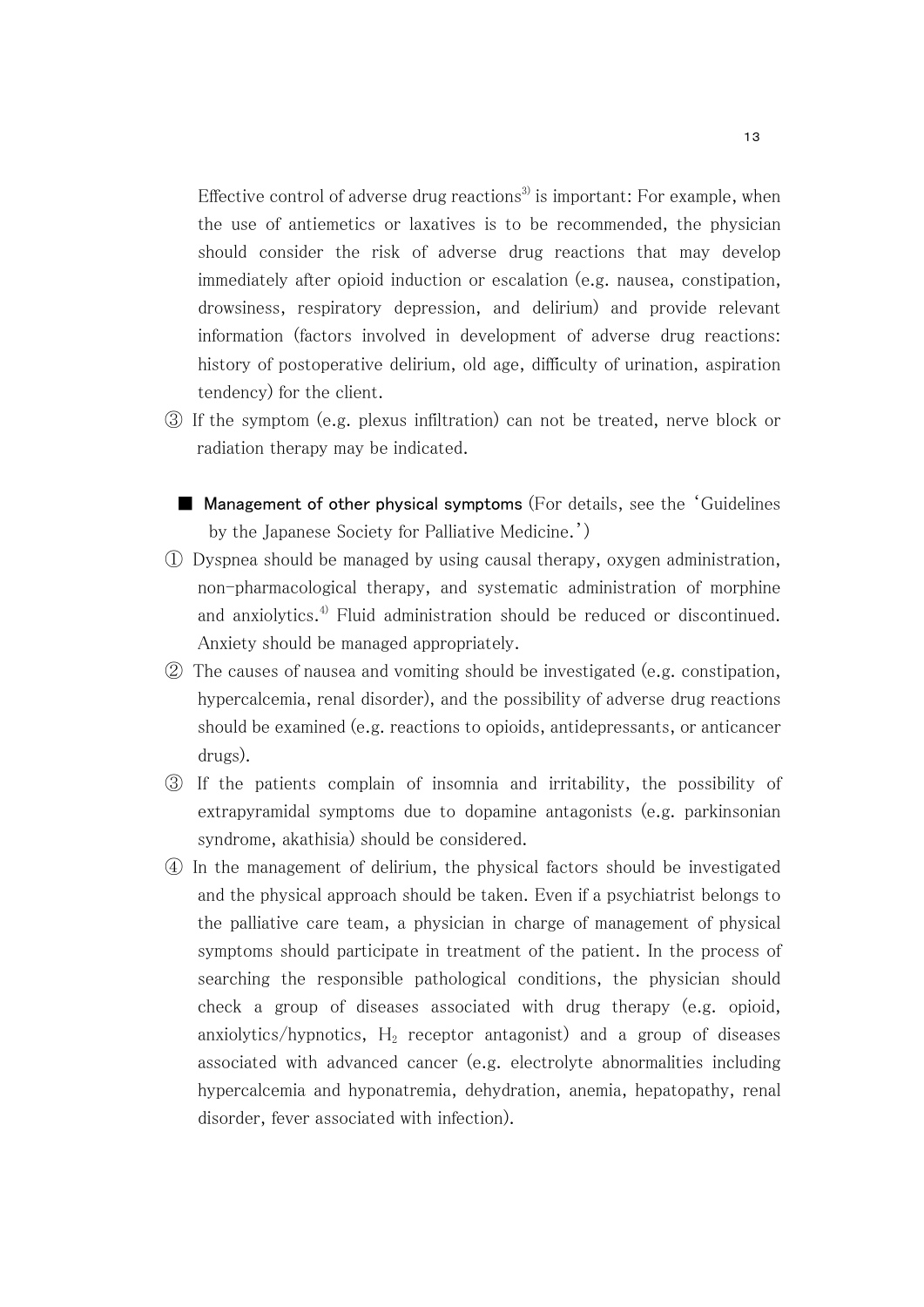Effective control of adverse drug reactions<sup>3)</sup> is important: For example, when the use of antiemetics or laxatives is to be recommended, the physician should consider the risk of adverse drug reactions that may develop immediately after opioid induction or escalation (e.g. nausea, constipation, drowsiness, respiratory depression, and delirium) and provide relevant information (factors involved in development of adverse drug reactions: history of postoperative delirium, old age, difficulty of urination, aspiration tendency) for the client.

- ③ If the symptom (e.g. plexus infiltration) can not be treated, nerve block or radiation therapy may be indicated.
	- Management of other physical symptoms (For details, see the 'Guidelines by the Japanese Society for Palliative Medicine.')
- ① Dyspnea should be managed by using causal therapy, oxygen administration, non-pharmacological therapy, and systematic administration of morphine and anxiolytics.<sup>4)</sup> Fluid administration should be reduced or discontinued. Anxiety should be managed appropriately.
- ② The causes of nausea and vomiting should be investigated (e.g. constipation, hypercalcemia, renal disorder), and the possibility of adverse drug reactions should be examined (e.g. reactions to opioids, antidepressants, or anticancer drugs).
- ③ If the patients complain of insomnia and irritability, the possibility of extrapyramidal symptoms due to dopamine antagonists (e.g. parkinsonian syndrome, akathisia) should be considered.
- ④ In the management of delirium, the physical factors should be investigated and the physical approach should be taken. Even if a psychiatrist belongs to the palliative care team, a physician in charge of management of physical symptoms should participate in treatment of the patient. In the process of searching the responsible pathological conditions, the physician should check a group of diseases associated with drug therapy (e.g. opioid, anxiolytics/hypnotics,  $H_2$  receptor antagonist) and a group of diseases associated with advanced cancer (e.g. electrolyte abnormalities including hypercalcemia and hyponatremia, dehydration, anemia, hepatopathy, renal disorder, fever associated with infection).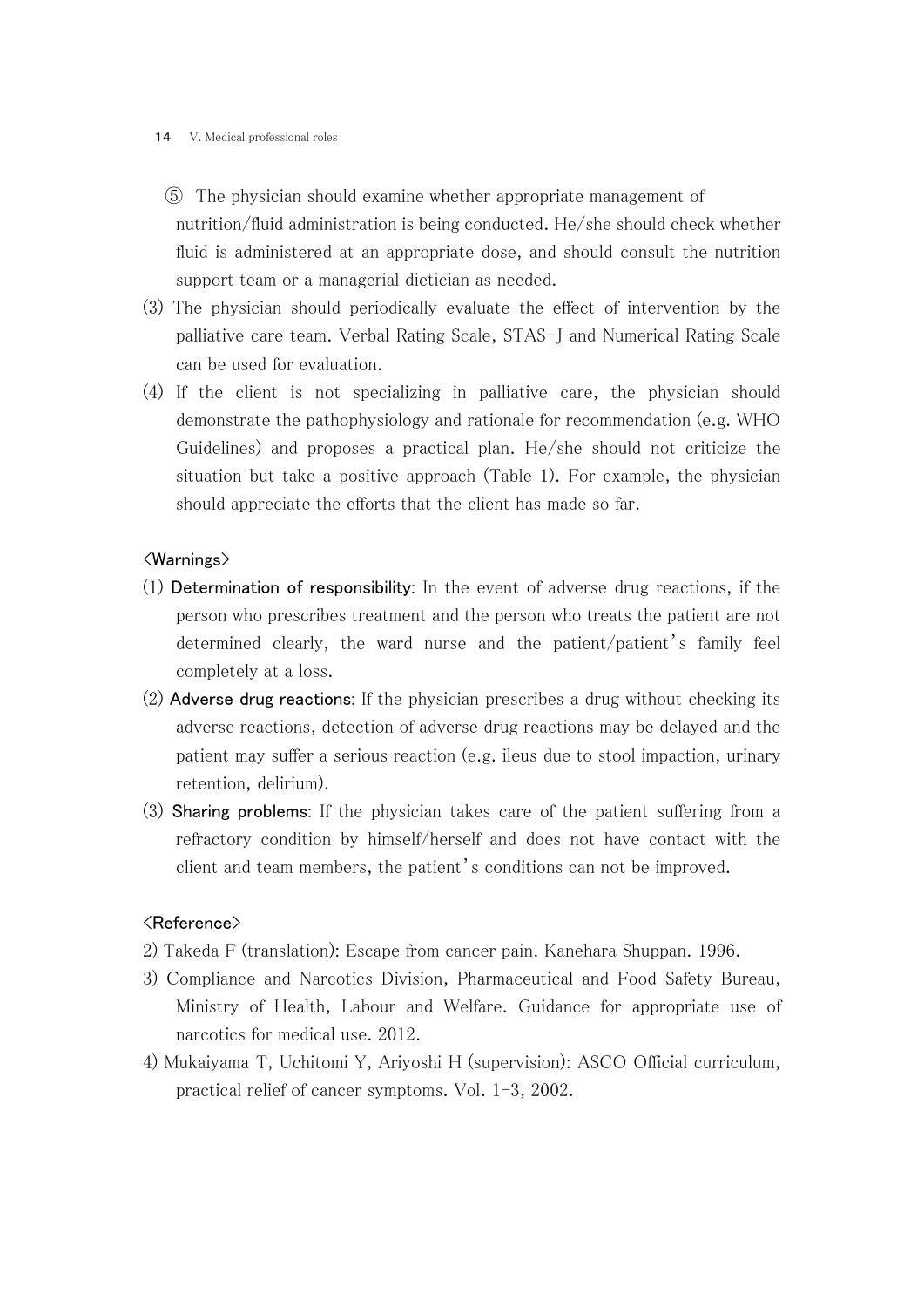#### 14 V. Medical professional roles

- ⑤ The physician should examine whether appropriate management of nutrition/fluid administration is being conducted. He/she should check whether fluid is administered at an appropriate dose, and should consult the nutrition support team or a managerial dietician as needed.
- (3) The physician should periodically evaluate the effect of intervention by the palliative care team. Verbal Rating Scale, STAS-J and Numerical Rating Scale can be used for evaluation.
- (4) If the client is not specializing in palliative care, the physician should demonstrate the pathophysiology and rationale for recommendation (e.g. WHO Guidelines) and proposes a practical plan. He/she should not criticize the situation but take a positive approach (Table 1). For example, the physician should appreciate the efforts that the client has made so far.

### <Warnings>

- (1) Determination of responsibility: In the event of adverse drug reactions, if the person who prescribes treatment and the person who treats the patient are not determined clearly, the ward nurse and the patient/patient's family feel completely at a loss.
- (2) Adverse drug reactions: If the physician prescribes a drug without checking its adverse reactions, detection of adverse drug reactions may be delayed and the patient may suffer a serious reaction (e.g. ileus due to stool impaction, urinary retention, delirium).
- (3) Sharing problems: If the physician takes care of the patient suffering from a refractory condition by himself/herself and does not have contact with the client and team members, the patient's conditions can not be improved.

## <Reference>

- 2) Takeda F (translation): Escape from cancer pain. Kanehara Shuppan. 1996.
- 3) Compliance and Narcotics Division, Pharmaceutical and Food Safety Bureau, Ministry of Health, Labour and Welfare. Guidance for appropriate use of narcotics for medical use. 2012.
- 4) Mukaiyama T, Uchitomi Y, Ariyoshi H (supervision): ASCO Official curriculum, practical relief of cancer symptoms. Vol. 1-3, 2002.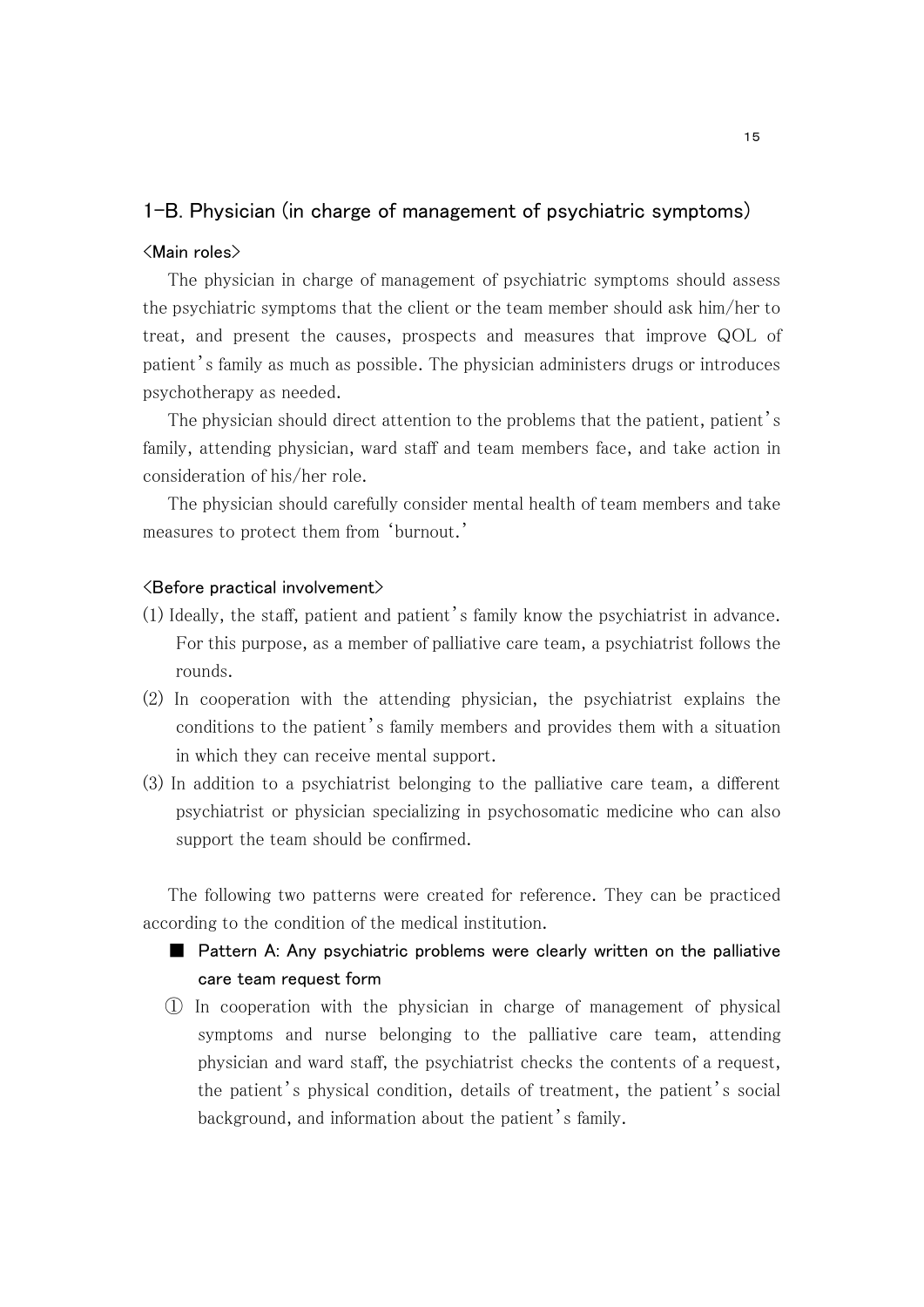## 1-B. Physician (in charge of management of psychiatric symptoms)

#### <Main roles>

 The physician in charge of management of psychiatric symptoms should assess the psychiatric symptoms that the client or the team member should ask him/her to treat, and present the causes, prospects and measures that improve QOL of patient's family as much as possible. The physician administers drugs or introduces psychotherapy as needed.

The physician should direct attention to the problems that the patient, patient's family, attending physician, ward staff and team members face, and take action in consideration of his/her role.

 The physician should carefully consider mental health of team members and take measures to protect them from 'burnout.'

#### <Before practical involvement>

- (1) Ideally, the staff, patient and patient's family know the psychiatrist in advance. For this purpose, as a member of palliative care team, a psychiatrist follows the rounds.
- (2) In cooperation with the attending physician, the psychiatrist explains the conditions to the patient's family members and provides them with a situation in which they can receive mental support.
- (3) In addition to a psychiatrist belonging to the palliative care team, a different psychiatrist or physician specializing in psychosomatic medicine who can also support the team should be confirmed.

 The following two patterns were created for reference. They can be practiced according to the condition of the medical institution.

## ■ Pattern A: Any psychiatric problems were clearly written on the palliative care team request form

① In cooperation with the physician in charge of management of physical symptoms and nurse belonging to the palliative care team, attending physician and ward staff, the psychiatrist checks the contents of a request, the patient's physical condition, details of treatment, the patient's social background, and information about the patient's family.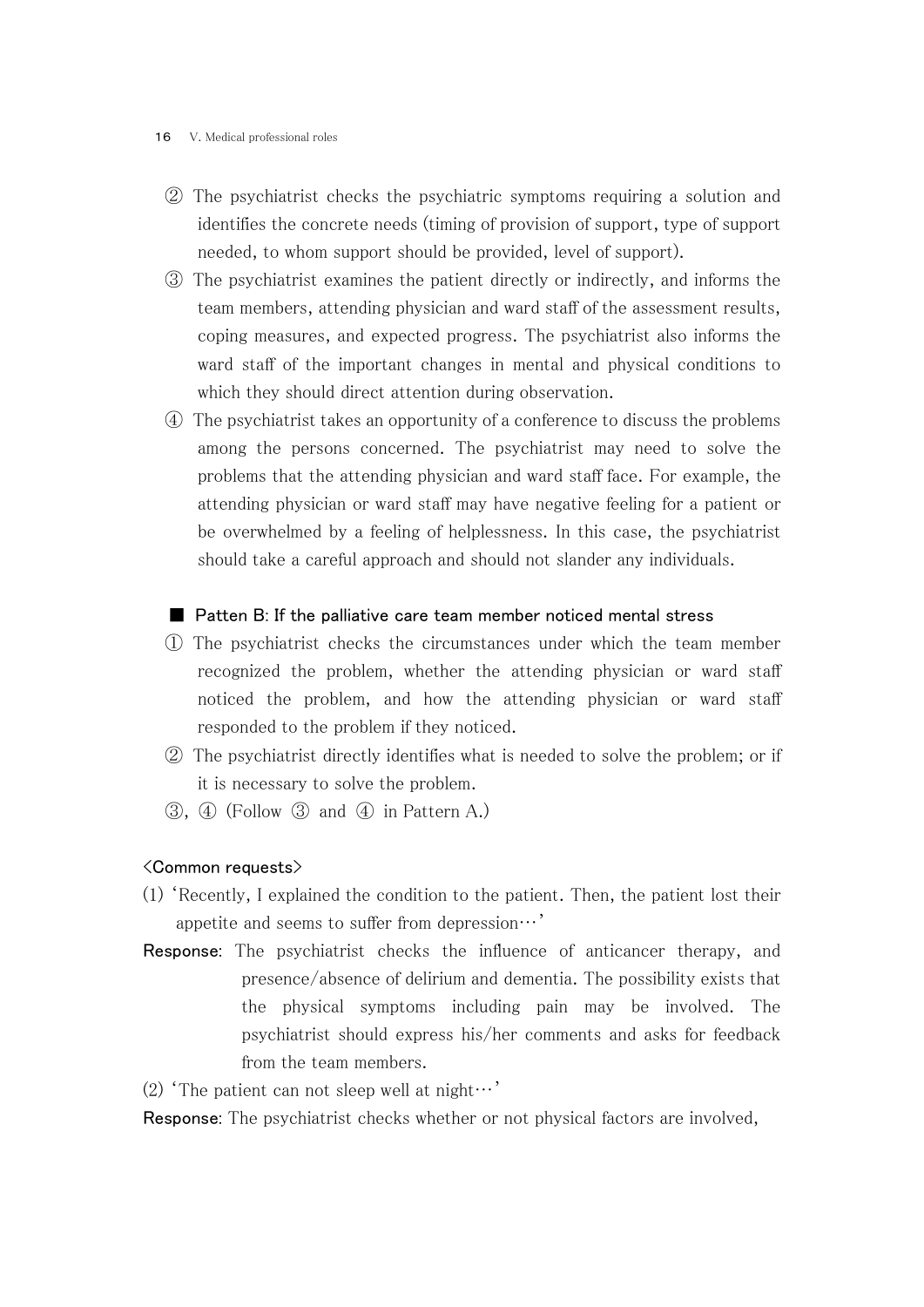#### 16 V. Medical professional roles

- ② The psychiatrist checks the psychiatric symptoms requiring a solution and identifies the concrete needs (timing of provision of support, type of support needed, to whom support should be provided, level of support).
- ③ The psychiatrist examines the patient directly or indirectly, and informs the team members, attending physician and ward staff of the assessment results, coping measures, and expected progress. The psychiatrist also informs the ward staff of the important changes in mental and physical conditions to which they should direct attention during observation.
- ④ The psychiatrist takes an opportunity of a conference to discuss the problems among the persons concerned. The psychiatrist may need to solve the problems that the attending physician and ward staff face. For example, the attending physician or ward staff may have negative feeling for a patient or be overwhelmed by a feeling of helplessness. In this case, the psychiatrist should take a careful approach and should not slander any individuals.

#### ■ Patten B: If the palliative care team member noticed mental stress

- ① The psychiatrist checks the circumstances under which the team member recognized the problem, whether the attending physician or ward staff noticed the problem, and how the attending physician or ward staff responded to the problem if they noticed.
- ② The psychiatrist directly identifies what is needed to solve the problem; or if it is necessary to solve the problem.
- ③, ④ (Follow ③ and ④ in Pattern A.)

#### <Common requests>

- (1) 'Recently, I explained the condition to the patient. Then, the patient lost their appetite and seems to suffer from depression…'
- Response: The psychiatrist checks the influence of anticancer therapy, and presence/absence of delirium and dementia. The possibility exists that the physical symptoms including pain may be involved. The psychiatrist should express his/her comments and asks for feedback from the team members.
- (2) 'The patient can not sleep well at night…'

Response: The psychiatrist checks whether or not physical factors are involved,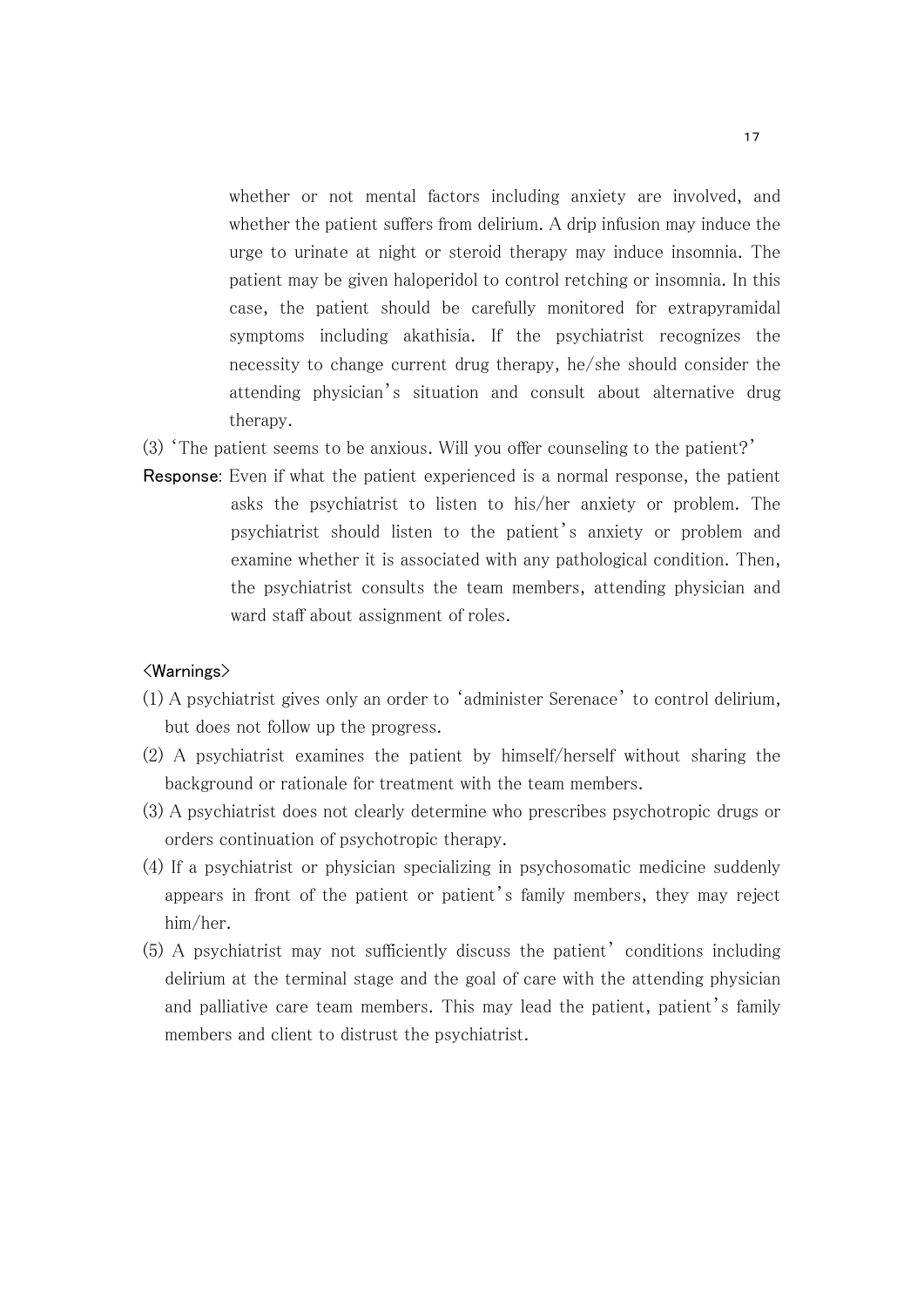whether or not mental factors including anxiety are involved, and whether the patient suffers from delirium. A drip infusion may induce the urge to urinate at night or steroid therapy may induce insomnia. The patient may be given haloperidol to control retching or insomnia. In this case, the patient should be carefully monitored for extrapyramidal symptoms including akathisia. If the psychiatrist recognizes the necessity to change current drug therapy, he/she should consider the attending physician's situation and consult about alternative drug therapy.

- (3) 'The patient seems to be anxious. Will you offer counseling to the patient?'
- Response: Even if what the patient experienced is a normal response, the patient asks the psychiatrist to listen to his/her anxiety or problem. The psychiatrist should listen to the patient's anxiety or problem and examine whether it is associated with any pathological condition. Then, the psychiatrist consults the team members, attending physician and ward staff about assignment of roles.

#### <Warnings>

- (1) A psychiatrist gives only an order to 'administer Serenace' to control delirium, but does not follow up the progress.
- (2) A psychiatrist examines the patient by himself/herself without sharing the background or rationale for treatment with the team members.
- (3) A psychiatrist does not clearly determine who prescribes psychotropic drugs or orders continuation of psychotropic therapy.
- (4) If a psychiatrist or physician specializing in psychosomatic medicine suddenly appears in front of the patient or patient's family members, they may reject him/her.
- (5) A psychiatrist may not sufficiently discuss the patient' conditions including delirium at the terminal stage and the goal of care with the attending physician and palliative care team members. This may lead the patient, patient's family members and client to distrust the psychiatrist.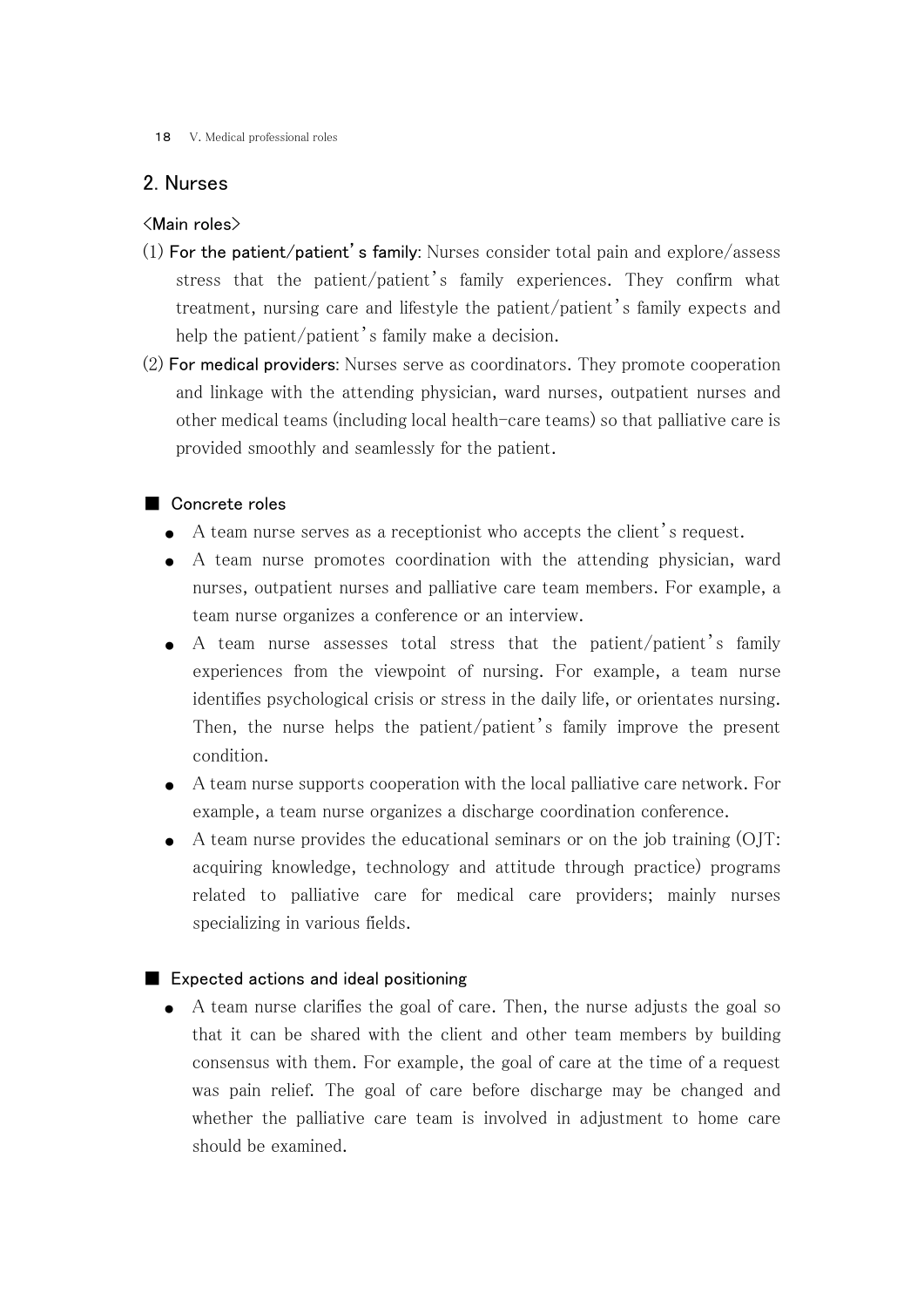#### 18 V. Medical professional roles

## 2. Nurses

#### <Main roles>

- $(1)$  For the patient/patient's family: Nurses consider total pain and explore/assess stress that the patient/patient's family experiences. They confirm what treatment, nursing care and lifestyle the patient/patient's family expects and help the patient/patient's family make a decision.
- (2) For medical providers: Nurses serve as coordinators. They promote cooperation and linkage with the attending physician, ward nurses, outpatient nurses and other medical teams (including local health-care teams) so that palliative care is provided smoothly and seamlessly for the patient.

#### ■ Concrete roles

- A team nurse serves as a receptionist who accepts the client's request.
- A team nurse promotes coordination with the attending physician, ward nurses, outpatient nurses and palliative care team members. For example, a team nurse organizes a conference or an interview.
- A team nurse assesses total stress that the patient/patient's family experiences from the viewpoint of nursing. For example, a team nurse identifies psychological crisis or stress in the daily life, or orientates nursing. Then, the nurse helps the patient/patient's family improve the present condition.
- A team nurse supports cooperation with the local palliative care network. For example, a team nurse organizes a discharge coordination conference.
- A team nurse provides the educational seminars or on the job training (OJT: acquiring knowledge, technology and attitude through practice) programs related to palliative care for medical care providers; mainly nurses specializing in various fields.

#### ■ Expected actions and ideal positioning

● A team nurse clarifies the goal of care. Then, the nurse adjusts the goal so that it can be shared with the client and other team members by building consensus with them. For example, the goal of care at the time of a request was pain relief. The goal of care before discharge may be changed and whether the palliative care team is involved in adjustment to home care should be examined.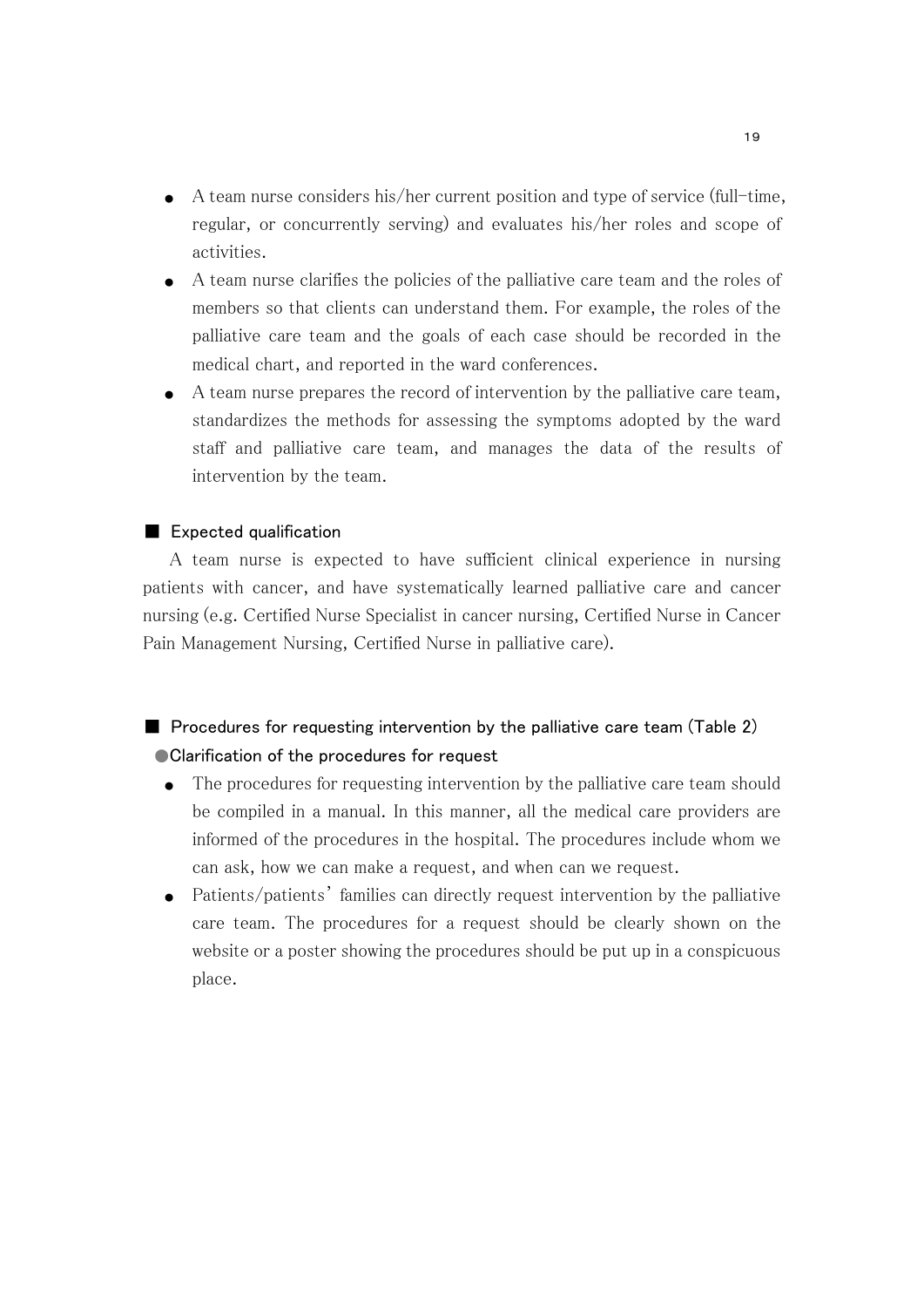- $\bullet$  A team nurse considers his/her current position and type of service (full-time, regular, or concurrently serving) and evaluates his/her roles and scope of activities.
- A team nurse clarifies the policies of the palliative care team and the roles of members so that clients can understand them. For example, the roles of the palliative care team and the goals of each case should be recorded in the medical chart, and reported in the ward conferences.
- A team nurse prepares the record of intervention by the palliative care team, standardizes the methods for assessing the symptoms adopted by the ward staff and palliative care team, and manages the data of the results of intervention by the team.

#### ■ Expected qualification

 A team nurse is expected to have sufficient clinical experience in nursing patients with cancer, and have systematically learned palliative care and cancer nursing (e.g. Certified Nurse Specialist in cancer nursing, Certified Nurse in Cancer Pain Management Nursing, Certified Nurse in palliative care).

## $\blacksquare$  Procedures for requesting intervention by the palliative care team (Table 2) ● Clarification of the procedures for request

- The procedures for requesting intervention by the palliative care team should be compiled in a manual. In this manner, all the medical care providers are informed of the procedures in the hospital. The procedures include whom we can ask, how we can make a request, and when can we request.
- Patients/patients' families can directly request intervention by the palliative care team. The procedures for a request should be clearly shown on the website or a poster showing the procedures should be put up in a conspicuous place.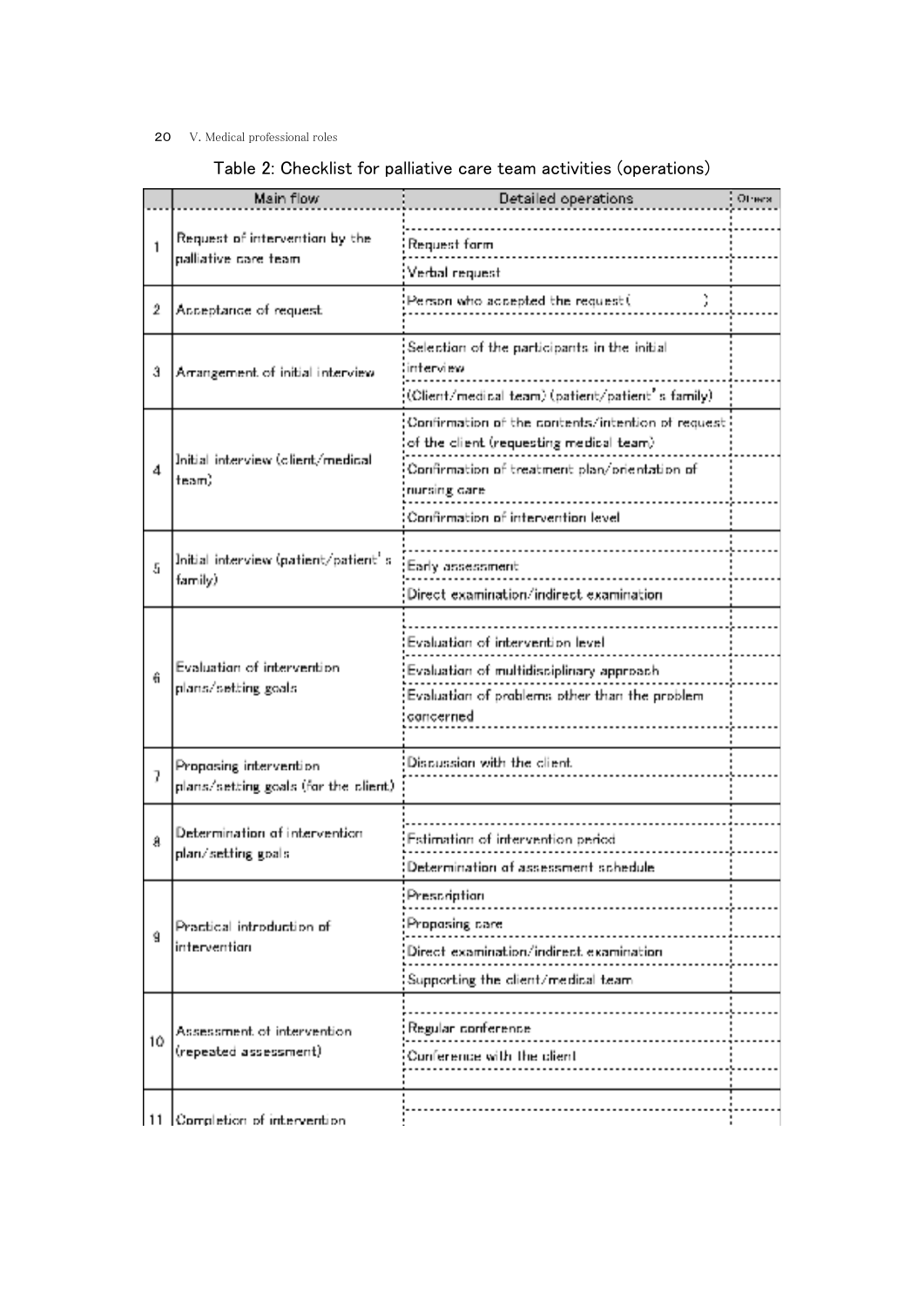#### 20 V. Medical professional roles

# Table 2: Checklist for palliative care team activities (operations)

|    | Main flow                                                       | Detailed operations                                                                                                                                                                                   | Отнех |
|----|-----------------------------------------------------------------|-------------------------------------------------------------------------------------------------------------------------------------------------------------------------------------------------------|-------|
| 1  | Request of intervention by the<br>palliative care team          | Request form<br>Verbal request                                                                                                                                                                        |       |
| 2  | Acceptance of request                                           | Person who accepted the request (                                                                                                                                                                     |       |
| G. | Arrangement of initial interview                                | Selection of the participants in the initial<br>interview.<br>(Olient/medical team) (patient/patient's family)                                                                                        |       |
| 4  | Initial interview (olient/medical<br>team)                      | Confirmation of the contents/intention of request<br>of the client (requesting medical team).<br>Confirmation of treatment plan/orientation of<br>nursing care<br>Confirmation of intervention level. |       |
| ā  | Initial interview (patient/patient' si<br>family)               | Early assessment<br>Direct examination/indirect examination                                                                                                                                           |       |
| û  | Evaluation of intervention<br>plans/setting goals.              | Evaluation of intervention level.<br>Evaluation of multidisciplinary approach<br>Evaluation of problems other than the problem<br>concerned                                                           |       |
| 7  | Proposing intervention<br>plans/setting goals (for the client). | Discussion with the client.                                                                                                                                                                           |       |
| A  | Determination of intervention<br>plan/setting goals             | Estimation of intervention period.<br>Determination of assessment schedule                                                                                                                            |       |
| ġ  | Practical introduction of<br>intervention                       | Prescription<br>Proposing care<br>Direct examination/indirect examination<br>Supporting the client/medical team.                                                                                      |       |
| 10 | Assessment of intervention<br>(repeated assessment)             | Regular conference<br>the control of the control of the control<br>Conference with the client                                                                                                         |       |
|    | 11 Completion of intervention                                   |                                                                                                                                                                                                       |       |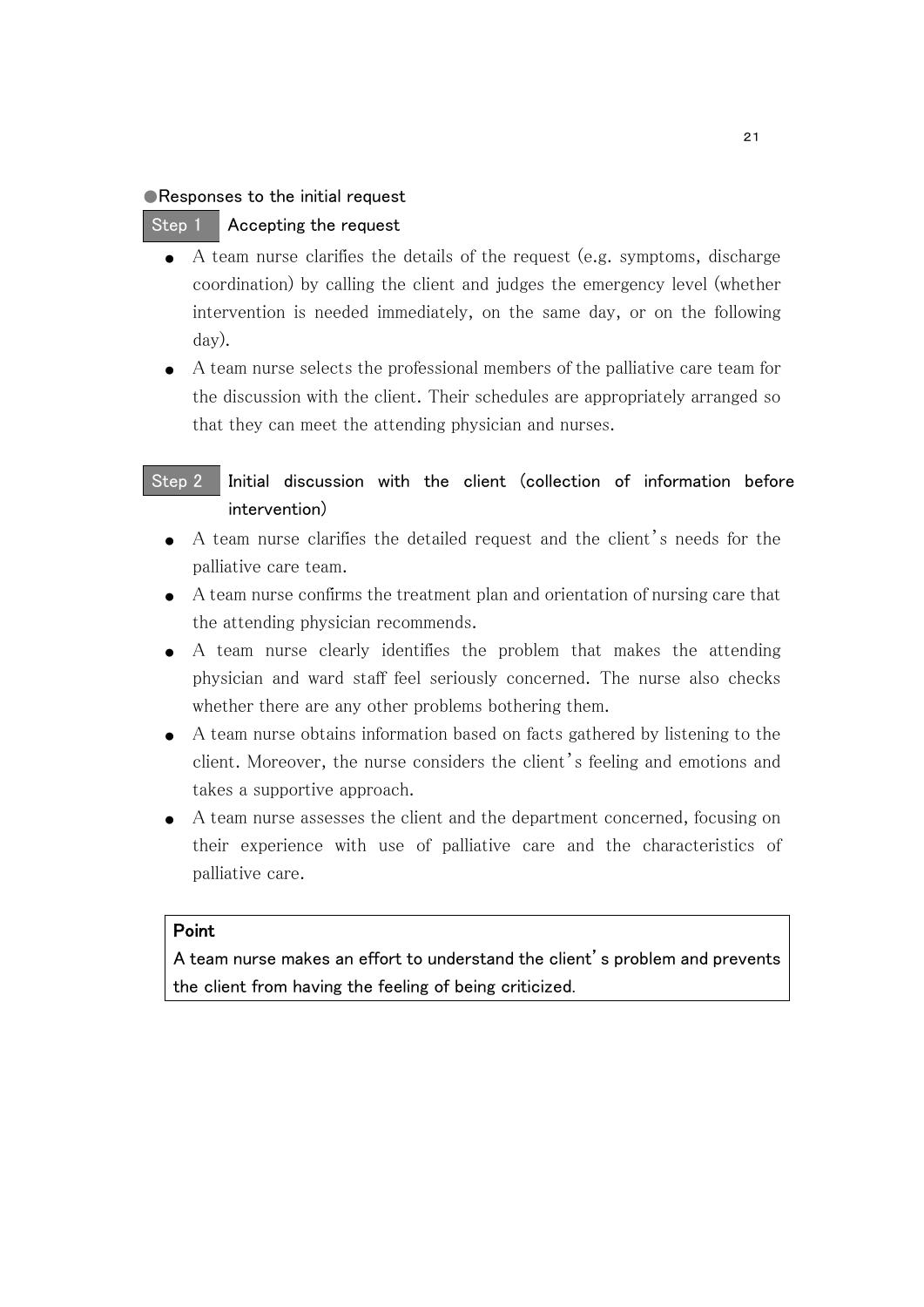#### ● Responses to the initial request

#### Step 1 Accepting the request

- A team nurse clarifies the details of the request (e.g. symptoms, discharge coordination) by calling the client and judges the emergency level (whether intervention is needed immediately, on the same day, or on the following day).
- A team nurse selects the professional members of the palliative care team for the discussion with the client. Their schedules are appropriately arranged so that they can meet the attending physician and nurses.

## Step 2 Initial discussion with the client (collection of information before intervention)

- A team nurse clarifies the detailed request and the client's needs for the palliative care team.
- A team nurse confirms the treatment plan and orientation of nursing care that the attending physician recommends.
- A team nurse clearly identifies the problem that makes the attending physician and ward staff feel seriously concerned. The nurse also checks whether there are any other problems bothering them.
- A team nurse obtains information based on facts gathered by listening to the client. Moreover, the nurse considers the client's feeling and emotions and takes a supportive approach.
- A team nurse assesses the client and the department concerned, focusing on their experience with use of palliative care and the characteristics of palliative care.

#### Point

A team nurse makes an effort to understand the client's problem and prevents the client from having the feeling of being criticized.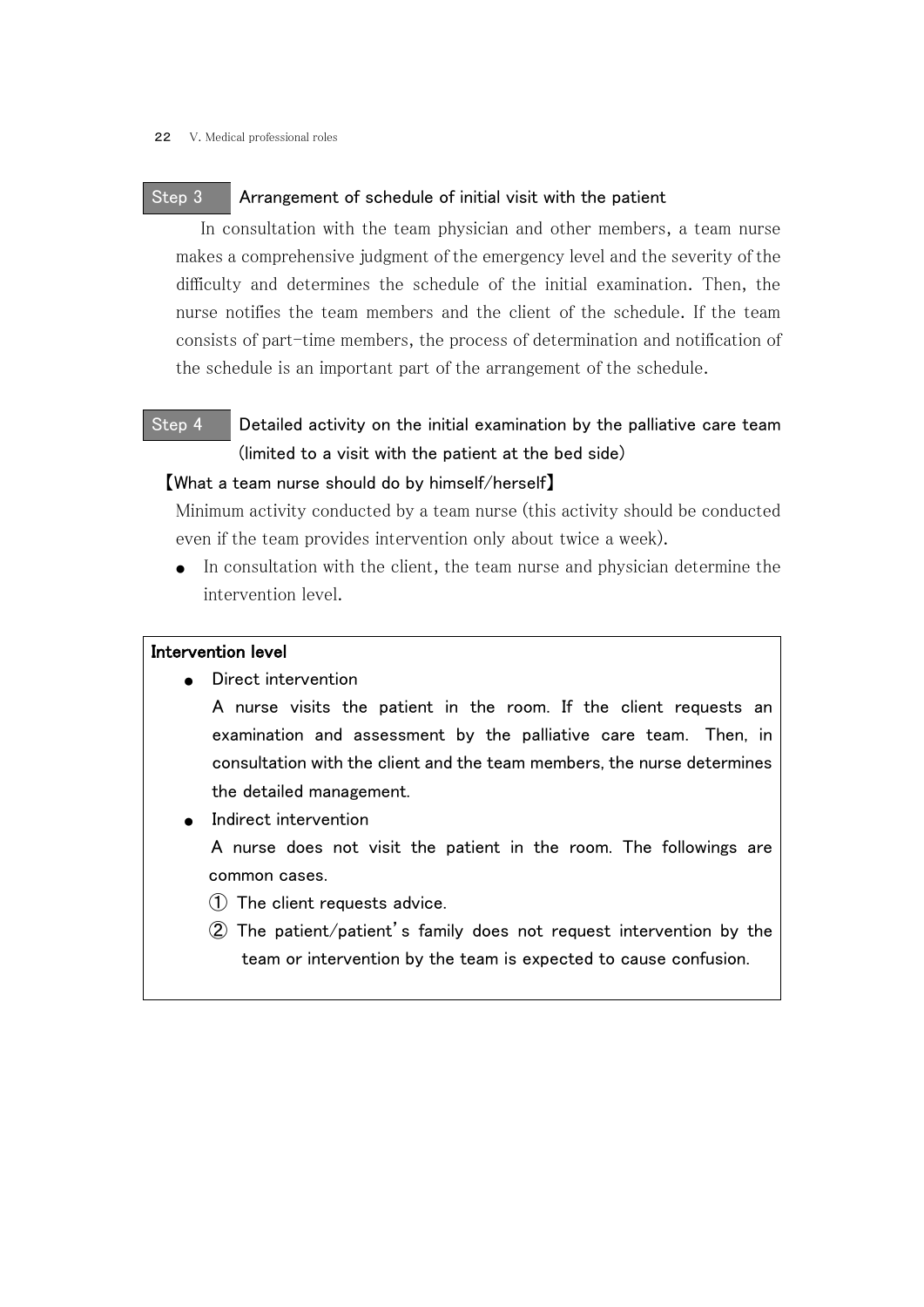#### Step 3 Arrangement of schedule of initial visit with the patient

 In consultation with the team physician and other members, a team nurse makes a comprehensive judgment of the emergency level and the severity of the difficulty and determines the schedule of the initial examination. Then, the nurse notifies the team members and the client of the schedule. If the team consists of part-time members, the process of determination and notification of the schedule is an important part of the arrangement of the schedule.

# Step 4 Detailed activity on the initial examination by the palliative care team (limited to a visit with the patient at the bed side)

#### 【What a team nurse should do by himself/herself】

Minimum activity conducted by a team nurse (this activity should be conducted even if the team provides intervention only about twice a week).

● In consultation with the client, the team nurse and physician determine the intervention level.

#### Intervention level

Direct intervention

A nurse visits the patient in the room. If the client requests an examination and assessment by the palliative care team. Then, in consultation with the client and the team members, the nurse determines the detailed management.

Indirect intervention

A nurse does not visit the patient in the room. The followings are common cases.

- ① The client requests advice.
- ② The patient/patient's family does not request intervention by the team or intervention by the team is expected to cause confusion.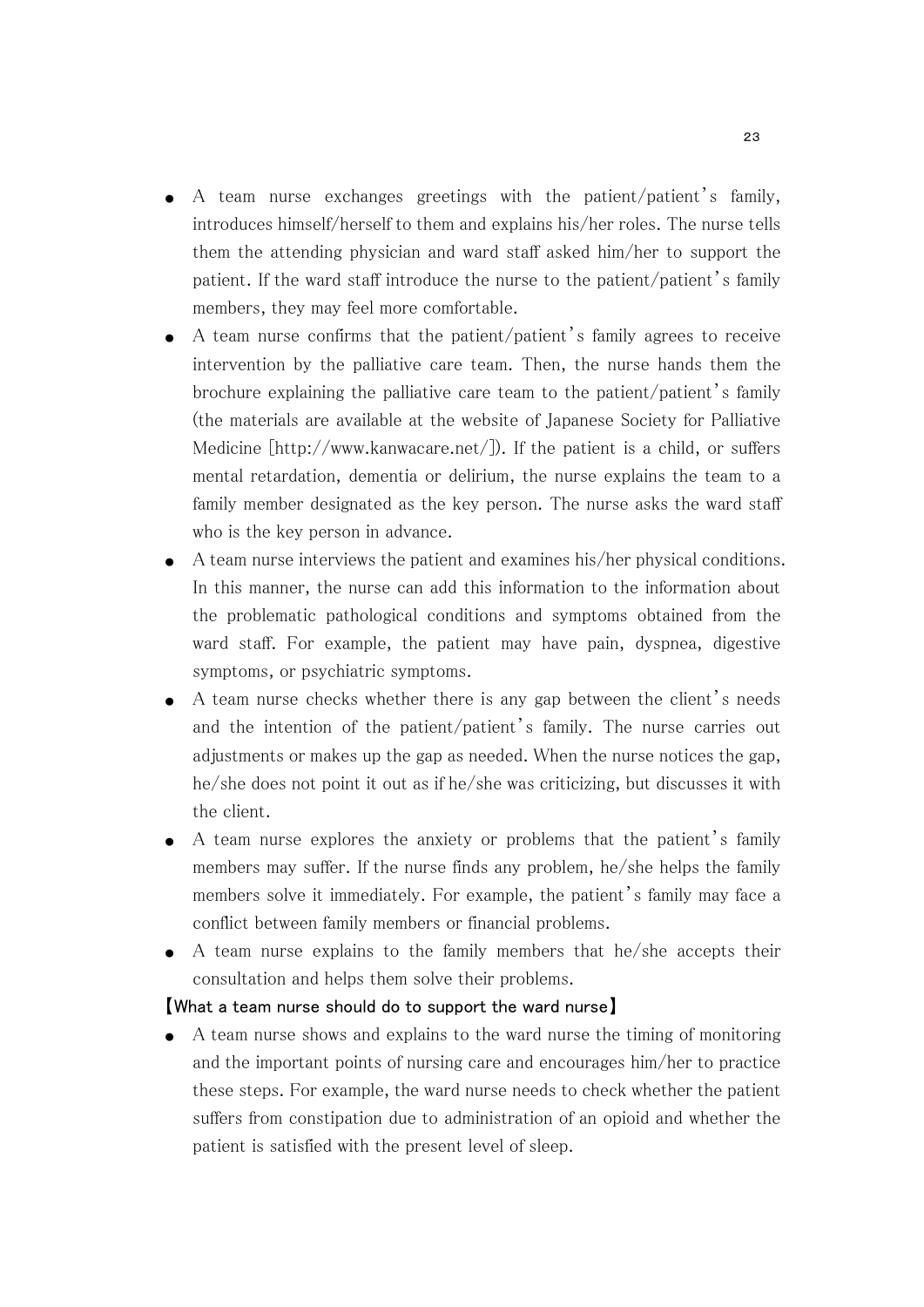- $\bullet$  A team nurse exchanges greetings with the patient/patient's family, introduces himself/herself to them and explains his/her roles. The nurse tells them the attending physician and ward staff asked him/her to support the patient. If the ward staff introduce the nurse to the patient/patient's family members, they may feel more comfortable.
- A team nurse confirms that the patient/patient's family agrees to receive intervention by the palliative care team. Then, the nurse hands them the brochure explaining the palliative care team to the patient/patient's family (the materials are available at the website of Japanese Society for Palliative Medicine [http://www.kanwacare.net/]). If the patient is a child, or suffers mental retardation, dementia or delirium, the nurse explains the team to a family member designated as the key person. The nurse asks the ward staff who is the key person in advance.
- A team nurse interviews the patient and examines his/her physical conditions. In this manner, the nurse can add this information to the information about the problematic pathological conditions and symptoms obtained from the ward staff. For example, the patient may have pain, dyspnea, digestive symptoms, or psychiatric symptoms.
- A team nurse checks whether there is any gap between the client's needs and the intention of the patient/patient's family. The nurse carries out adjustments or makes up the gap as needed. When the nurse notices the gap, he/she does not point it out as if he/she was criticizing, but discusses it with the client.
- A team nurse explores the anxiety or problems that the patient's family members may suffer. If the nurse finds any problem, he/she helps the family members solve it immediately. For example, the patient's family may face a conflict between family members or financial problems.
- A team nurse explains to the family members that he/she accepts their consultation and helps them solve their problems.

#### 【What a team nurse should do to support the ward nurse】

● A team nurse shows and explains to the ward nurse the timing of monitoring and the important points of nursing care and encourages him/her to practice these steps. For example, the ward nurse needs to check whether the patient suffers from constipation due to administration of an opioid and whether the patient is satisfied with the present level of sleep.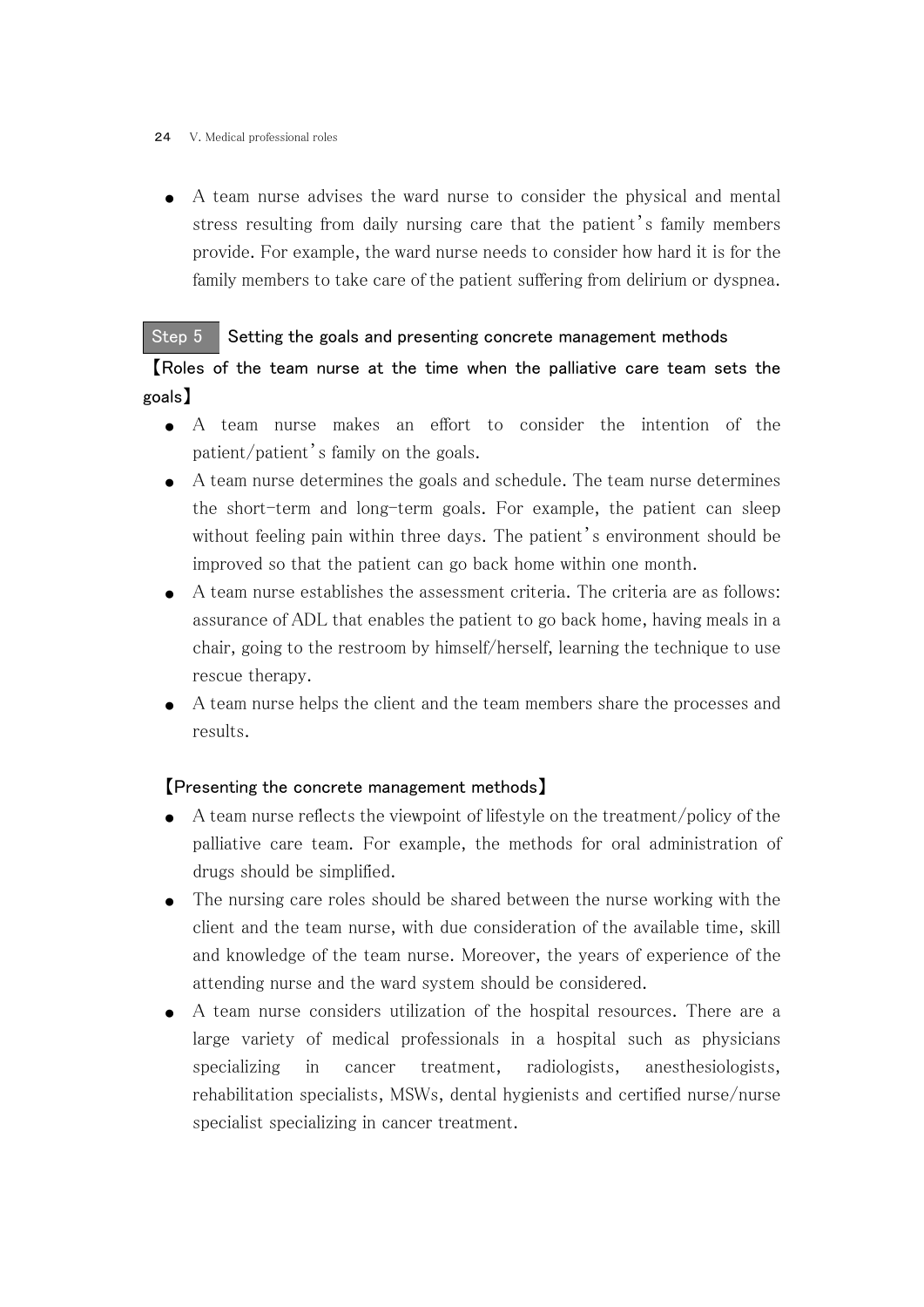#### 24 V. Medical professional roles

● A team nurse advises the ward nurse to consider the physical and mental stress resulting from daily nursing care that the patient's family members provide. For example, the ward nurse needs to consider how hard it is for the family members to take care of the patient suffering from delirium or dyspnea.

## Step 5 Setting the goals and presenting concrete management methods

【Roles of the team nurse at the time when the palliative care team sets the goals】

- A team nurse makes an effort to consider the intention of the patient/patient's family on the goals.
- A team nurse determines the goals and schedule. The team nurse determines the short-term and long-term goals. For example, the patient can sleep without feeling pain within three days. The patient's environment should be improved so that the patient can go back home within one month.
- A team nurse establishes the assessment criteria. The criteria are as follows: assurance of ADL that enables the patient to go back home, having meals in a chair, going to the restroom by himself/herself, learning the technique to use rescue therapy.
- A team nurse helps the client and the team members share the processes and results.

## 【Presenting the concrete management methods】

- $\bullet$  A team nurse reflects the viewpoint of lifestyle on the treatment/policy of the palliative care team. For example, the methods for oral administration of drugs should be simplified.
- The nursing care roles should be shared between the nurse working with the client and the team nurse, with due consideration of the available time, skill and knowledge of the team nurse. Moreover, the years of experience of the attending nurse and the ward system should be considered.
- A team nurse considers utilization of the hospital resources. There are a large variety of medical professionals in a hospital such as physicians specializing in cancer treatment, radiologists, anesthesiologists, rehabilitation specialists, MSWs, dental hygienists and certified nurse/nurse specialist specializing in cancer treatment.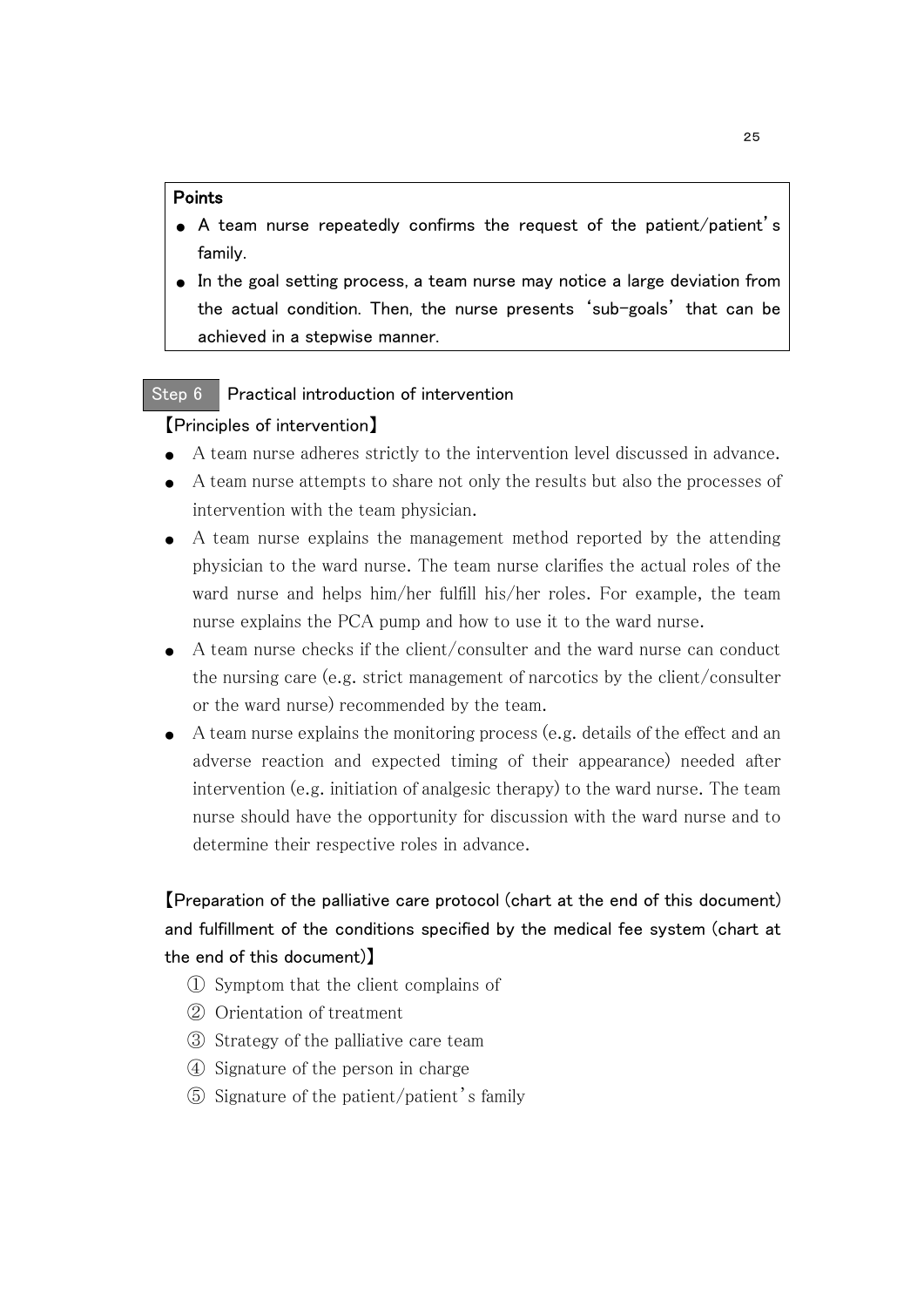#### Points

- A team nurse repeatedly confirms the request of the patient/patient's family.
- In the goal setting process, a team nurse may notice a large deviation from the actual condition. Then, the nurse presents 'sub-goals' that can be achieved in a stepwise manner.

### Step 6 Practical introduction of intervention

### 【Principles of intervention】

- A team nurse adheres strictly to the intervention level discussed in advance.
- A team nurse attempts to share not only the results but also the processes of intervention with the team physician.
- A team nurse explains the management method reported by the attending physician to the ward nurse. The team nurse clarifies the actual roles of the ward nurse and helps him/her fulfill his/her roles. For example, the team nurse explains the PCA pump and how to use it to the ward nurse.
- A team nurse checks if the client/consulter and the ward nurse can conduct the nursing care (e.g. strict management of narcotics by the client/consulter or the ward nurse) recommended by the team.
- A team nurse explains the monitoring process (e.g. details of the effect and an adverse reaction and expected timing of their appearance) needed after intervention (e.g. initiation of analgesic therapy) to the ward nurse. The team nurse should have the opportunity for discussion with the ward nurse and to determine their respective roles in advance.

# 【Preparation of the palliative care protocol (chart at the end of this document) and fulfillment of the conditions specified by the medical fee system (chart at the end of this document)】

- ① Symptom that the client complains of
- ② Orientation of treatment
- ③ Strategy of the palliative care team
- ④ Signature of the person in charge
- ⑤ Signature of the patient/patient's family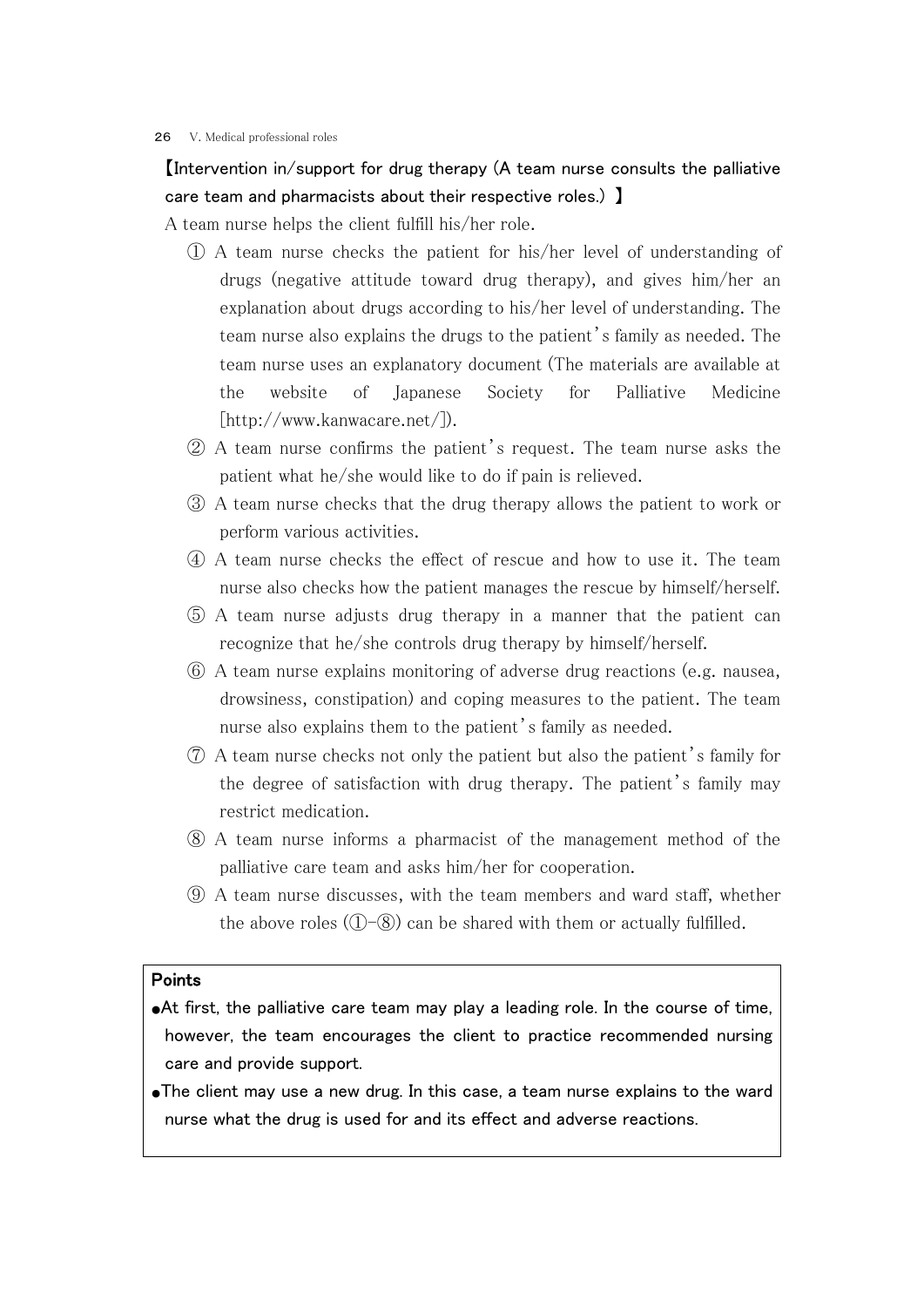#### 26 V. Medical professional roles

## 【Intervention in/support for drug therapy (A team nurse consults the palliative care team and pharmacists about their respective roles.) 】

A team nurse helps the client fulfill his/her role.

- ① A team nurse checks the patient for his/her level of understanding of drugs (negative attitude toward drug therapy), and gives him/her an explanation about drugs according to his/her level of understanding. The team nurse also explains the drugs to the patient's family as needed. The team nurse uses an explanatory document (The materials are available at the website of Japanese Society for Palliative Medicine [http://www.kanwacare.net/]).
- ② A team nurse confirms the patient's request. The team nurse asks the patient what he/she would like to do if pain is relieved.
- ③ A team nurse checks that the drug therapy allows the patient to work or perform various activities.
- ④ A team nurse checks the effect of rescue and how to use it. The team nurse also checks how the patient manages the rescue by himself/herself.
- ⑤ A team nurse adjusts drug therapy in a manner that the patient can recognize that he/she controls drug therapy by himself/herself.
- ⑥ A team nurse explains monitoring of adverse drug reactions (e.g. nausea, drowsiness, constipation) and coping measures to the patient. The team nurse also explains them to the patient's family as needed.
- ⑦ A team nurse checks not only the patient but also the patient's family for the degree of satisfaction with drug therapy. The patient's family may restrict medication.
- ⑧ A team nurse informs a pharmacist of the management method of the palliative care team and asks him/her for cooperation.
- ⑨ A team nurse discusses, with the team members and ward staff, whether the above roles  $(1)$ – $(8)$  can be shared with them or actually fulfilled.

#### Points

- ●At first, the palliative care team may play a leading role. In the course of time, however, the team encourages the client to practice recommended nursing care and provide support.
- ●The client may use a new drug. In this case, a team nurse explains to the ward nurse what the drug is used for and its effect and adverse reactions.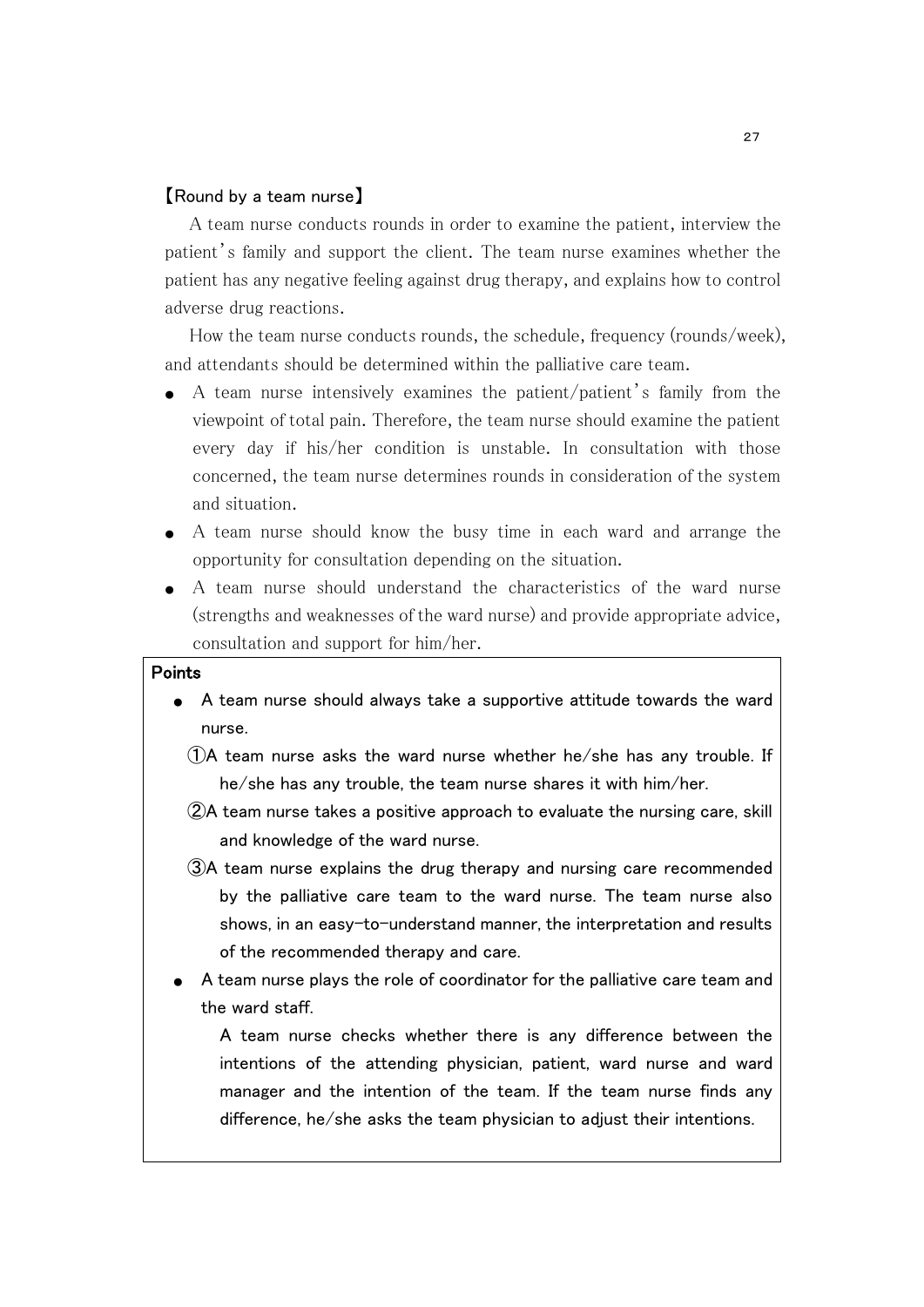#### 【Round by a team nurse】

 A team nurse conducts rounds in order to examine the patient, interview the patient's family and support the client. The team nurse examines whether the patient has any negative feeling against drug therapy, and explains how to control adverse drug reactions.

 How the team nurse conducts rounds, the schedule, frequency (rounds/week), and attendants should be determined within the palliative care team.

- A team nurse intensively examines the patient/patient's family from the viewpoint of total pain. Therefore, the team nurse should examine the patient every day if his/her condition is unstable. In consultation with those concerned, the team nurse determines rounds in consideration of the system and situation.
- A team nurse should know the busy time in each ward and arrange the opportunity for consultation depending on the situation.
- A team nurse should understand the characteristics of the ward nurse (strengths and weaknesses of the ward nurse) and provide appropriate advice, consultation and support for him/her.

## Points

- A team nurse should always take a supportive attitude towards the ward nurse.
	- ①A team nurse asks the ward nurse whether he/she has any trouble. If he/she has any trouble, the team nurse shares it with him/her.
	- ②A team nurse takes a positive approach to evaluate the nursing care, skill and knowledge of the ward nurse.
	- ③A team nurse explains the drug therapy and nursing care recommended by the palliative care team to the ward nurse. The team nurse also shows, in an easy-to-understand manner, the interpretation and results of the recommended therapy and care.
- A team nurse plays the role of coordinator for the palliative care team and the ward staff.

A team nurse checks whether there is any difference between the intentions of the attending physician, patient, ward nurse and ward manager and the intention of the team. If the team nurse finds any difference, he/she asks the team physician to adjust their intentions.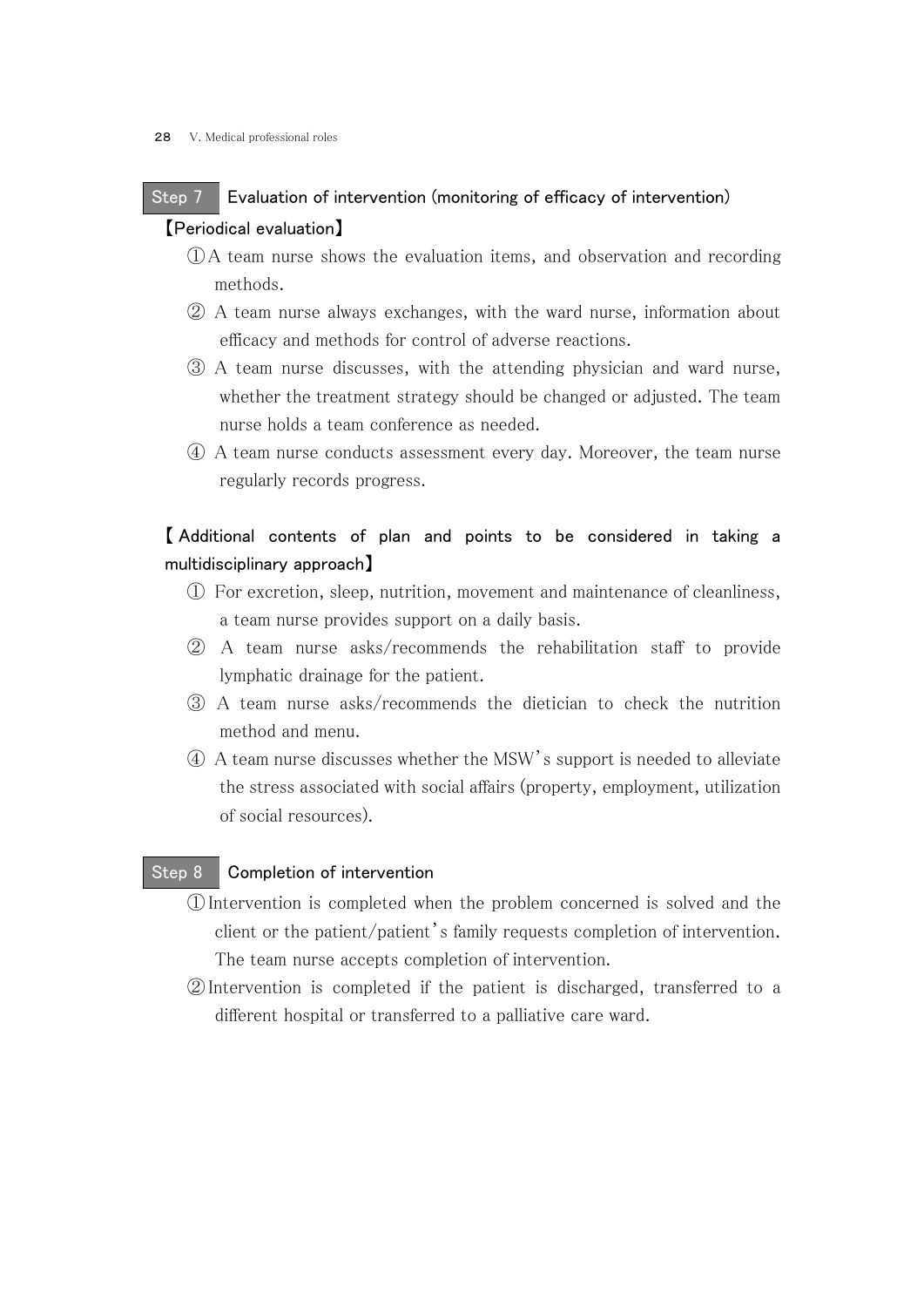# Step 7 Evaluation of intervention (monitoring of efficacy of intervention) 【Periodical evaluation】

- ①A team nurse shows the evaluation items, and observation and recording methods.
- ② A team nurse always exchanges, with the ward nurse, information about efficacy and methods for control of adverse reactions.
- ③ A team nurse discusses, with the attending physician and ward nurse, whether the treatment strategy should be changed or adjusted. The team nurse holds a team conference as needed.
- ④ A team nurse conducts assessment every day. Moreover, the team nurse regularly records progress.

# 【 Additional contents of plan and points to be considered in taking a multidisciplinary approach】

- ① For excretion, sleep, nutrition, movement and maintenance of cleanliness, a team nurse provides support on a daily basis.
- ② A team nurse asks/recommends the rehabilitation staff to provide lymphatic drainage for the patient.
- ③ A team nurse asks/recommends the dietician to check the nutrition method and menu.
- ④ A team nurse discusses whether the MSW's support is needed to alleviate the stress associated with social affairs (property, employment, utilization of social resources).

## Step 8 Completion of intervention

- ①Intervention is completed when the problem concerned is solved and the client or the patient/patient's family requests completion of intervention. The team nurse accepts completion of intervention.
- ②Intervention is completed if the patient is discharged, transferred to a different hospital or transferred to a palliative care ward.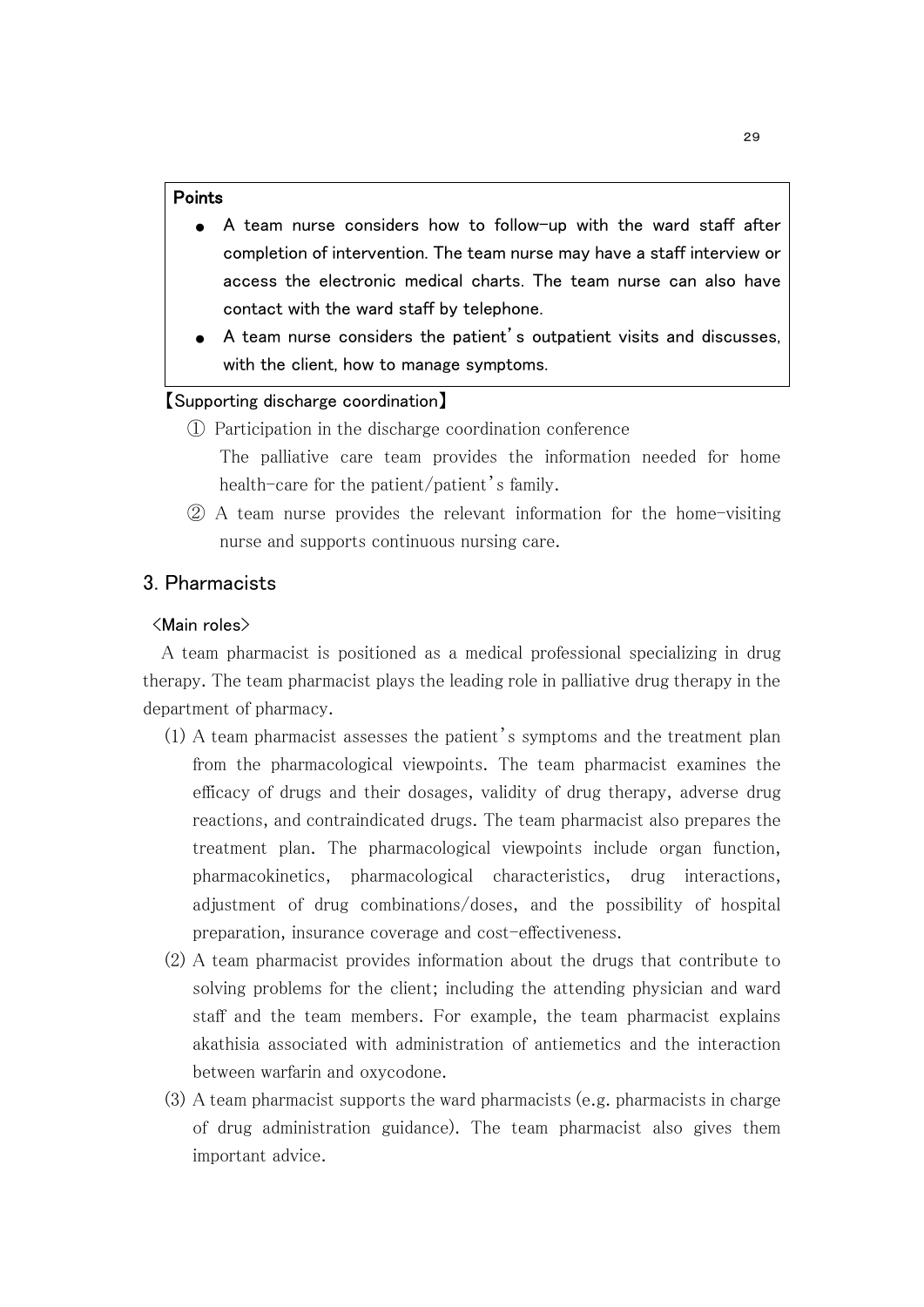#### Points

- A team nurse considers how to follow-up with the ward staff after completion of intervention. The team nurse may have a staff interview or access the electronic medical charts. The team nurse can also have contact with the ward staff by telephone.
- A team nurse considers the patient's outpatient visits and discusses, with the client, how to manage symptoms.

#### 【Supporting discharge coordination】

- ① Participation in the discharge coordination conference The palliative care team provides the information needed for home health-care for the patient/patient's family.
- ② A team nurse provides the relevant information for the home-visiting nurse and supports continuous nursing care.

## 3. Pharmacists

#### <Main roles>

 A team pharmacist is positioned as a medical professional specializing in drug therapy. The team pharmacist plays the leading role in palliative drug therapy in the department of pharmacy.

- (1) A team pharmacist assesses the patient's symptoms and the treatment plan from the pharmacological viewpoints. The team pharmacist examines the efficacy of drugs and their dosages, validity of drug therapy, adverse drug reactions, and contraindicated drugs. The team pharmacist also prepares the treatment plan. The pharmacological viewpoints include organ function, pharmacokinetics, pharmacological characteristics, drug interactions, adjustment of drug combinations/doses, and the possibility of hospital preparation, insurance coverage and cost-effectiveness.
- (2) A team pharmacist provides information about the drugs that contribute to solving problems for the client; including the attending physician and ward staff and the team members. For example, the team pharmacist explains akathisia associated with administration of antiemetics and the interaction between warfarin and oxycodone.
- (3) A team pharmacist supports the ward pharmacists (e.g. pharmacists in charge of drug administration guidance). The team pharmacist also gives them important advice.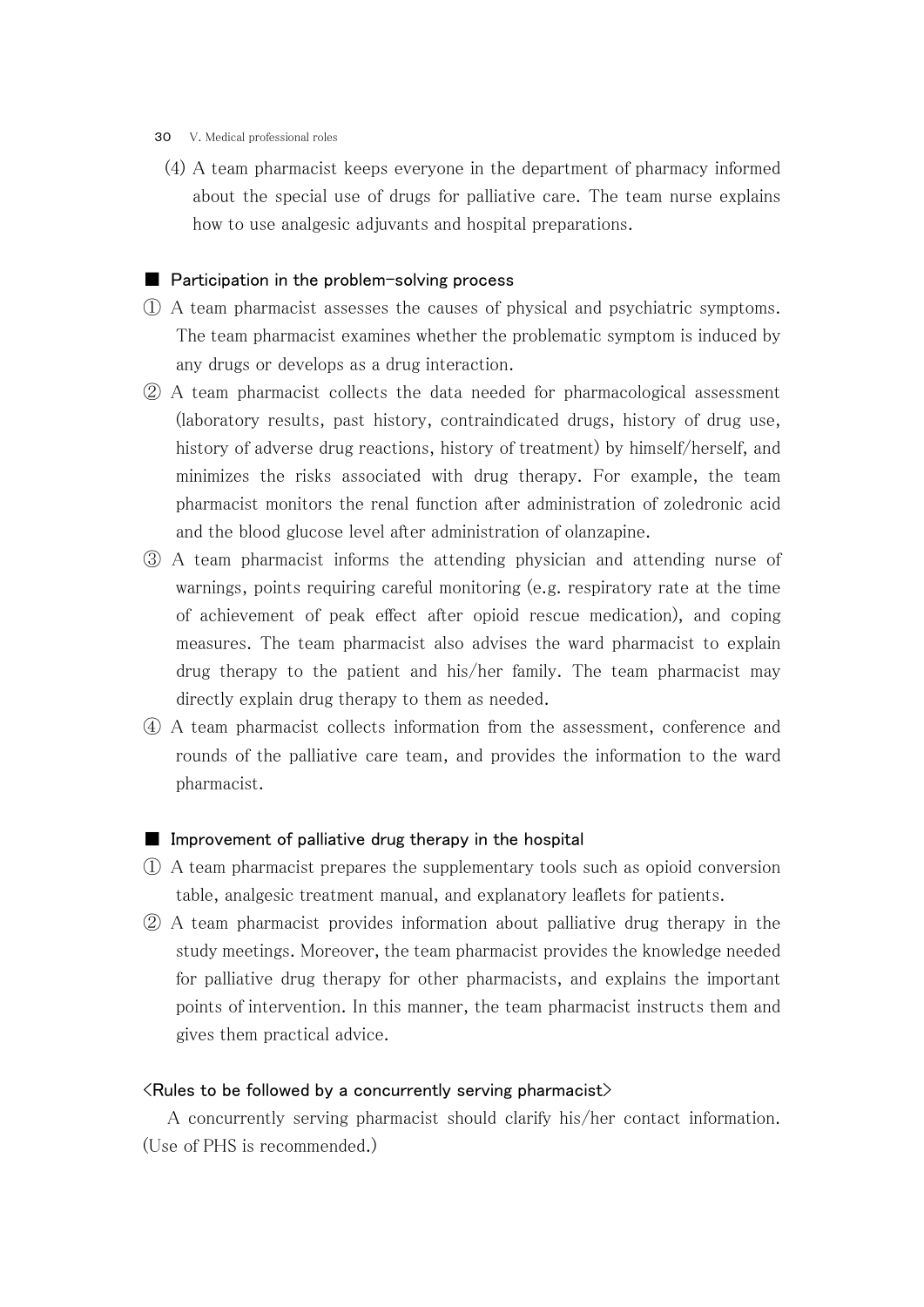- 30 V. Medical professional roles
	- (4) A team pharmacist keeps everyone in the department of pharmacy informed about the special use of drugs for palliative care. The team nurse explains how to use analgesic adjuvants and hospital preparations.

#### ■ Participation in the problem-solving process

- ① A team pharmacist assesses the causes of physical and psychiatric symptoms. The team pharmacist examines whether the problematic symptom is induced by any drugs or develops as a drug interaction.
- ② A team pharmacist collects the data needed for pharmacological assessment (laboratory results, past history, contraindicated drugs, history of drug use, history of adverse drug reactions, history of treatment) by himself/herself, and minimizes the risks associated with drug therapy. For example, the team pharmacist monitors the renal function after administration of zoledronic acid and the blood glucose level after administration of olanzapine.
- ③ A team pharmacist informs the attending physician and attending nurse of warnings, points requiring careful monitoring (e.g. respiratory rate at the time of achievement of peak effect after opioid rescue medication), and coping measures. The team pharmacist also advises the ward pharmacist to explain drug therapy to the patient and his/her family. The team pharmacist may directly explain drug therapy to them as needed.
- ④ A team pharmacist collects information from the assessment, conference and rounds of the palliative care team, and provides the information to the ward pharmacist.

#### ■ Improvement of palliative drug therapy in the hospital

- ① A team pharmacist prepares the supplementary tools such as opioid conversion table, analgesic treatment manual, and explanatory leaflets for patients.
- ② A team pharmacist provides information about palliative drug therapy in the study meetings. Moreover, the team pharmacist provides the knowledge needed for palliative drug therapy for other pharmacists, and explains the important points of intervention. In this manner, the team pharmacist instructs them and gives them practical advice.

#### $\langle$  Rules to be followed by a concurrently serving pharmacist $\rangle$

 A concurrently serving pharmacist should clarify his/her contact information. (Use of PHS is recommended.)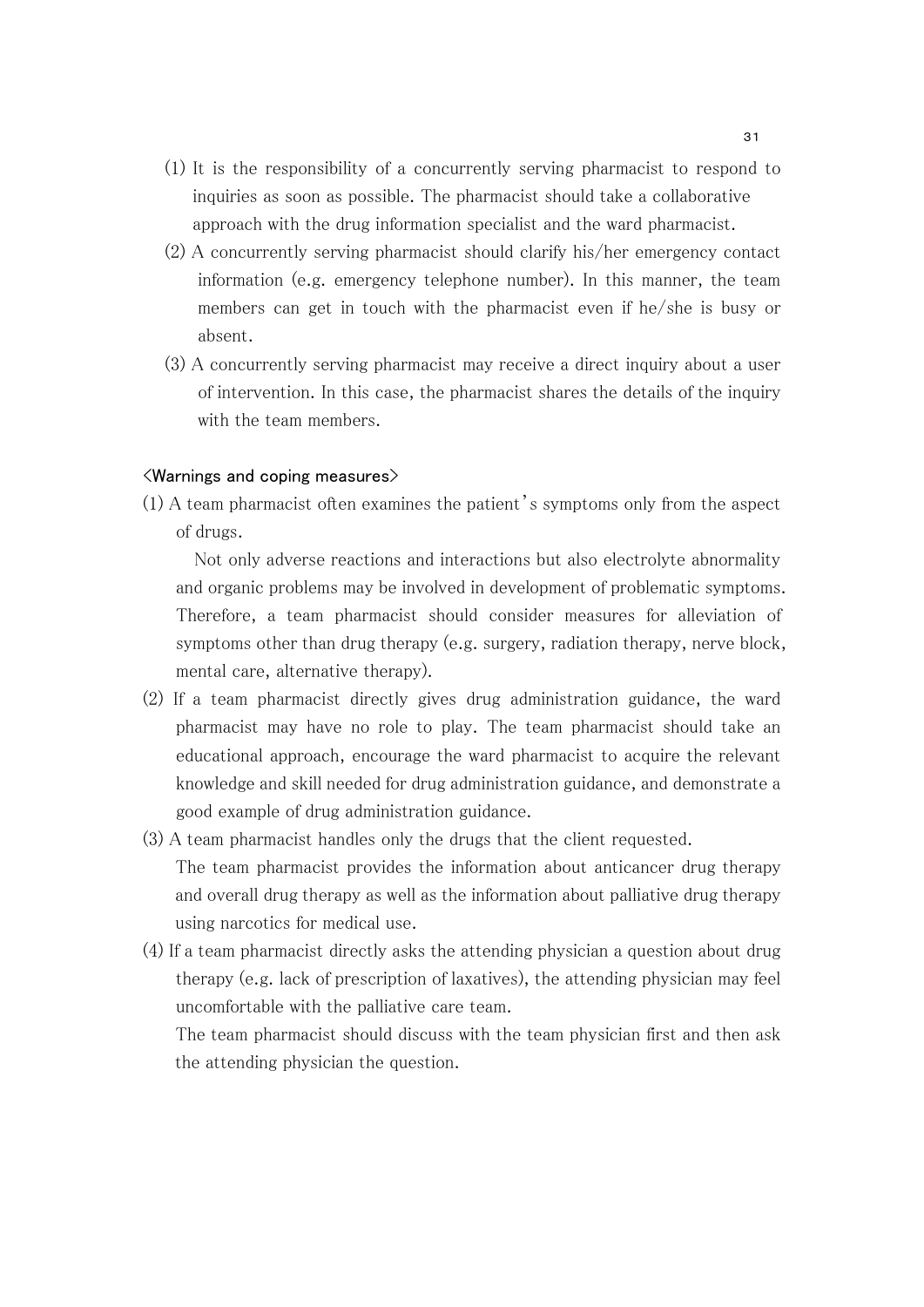- (1) It is the responsibility of a concurrently serving pharmacist to respond to inquiries as soon as possible. The pharmacist should take a collaborative approach with the drug information specialist and the ward pharmacist.
- (2) A concurrently serving pharmacist should clarify his/her emergency contact information (e.g. emergency telephone number). In this manner, the team members can get in touch with the pharmacist even if he/she is busy or absent.
- (3) A concurrently serving pharmacist may receive a direct inquiry about a user of intervention. In this case, the pharmacist shares the details of the inquiry with the team members.

#### <Warnings and coping measures>

(1) A team pharmacist often examines the patient's symptoms only from the aspect of drugs.

 Not only adverse reactions and interactions but also electrolyte abnormality and organic problems may be involved in development of problematic symptoms. Therefore, a team pharmacist should consider measures for alleviation of symptoms other than drug therapy (e.g. surgery, radiation therapy, nerve block, mental care, alternative therapy).

- (2) If a team pharmacist directly gives drug administration guidance, the ward pharmacist may have no role to play. The team pharmacist should take an educational approach, encourage the ward pharmacist to acquire the relevant knowledge and skill needed for drug administration guidance, and demonstrate a good example of drug administration guidance.
- (3) A team pharmacist handles only the drugs that the client requested. The team pharmacist provides the information about anticancer drug therapy and overall drug therapy as well as the information about palliative drug therapy using narcotics for medical use.
- (4) If a team pharmacist directly asks the attending physician a question about drug therapy (e.g. lack of prescription of laxatives), the attending physician may feel uncomfortable with the palliative care team.

The team pharmacist should discuss with the team physician first and then ask the attending physician the question.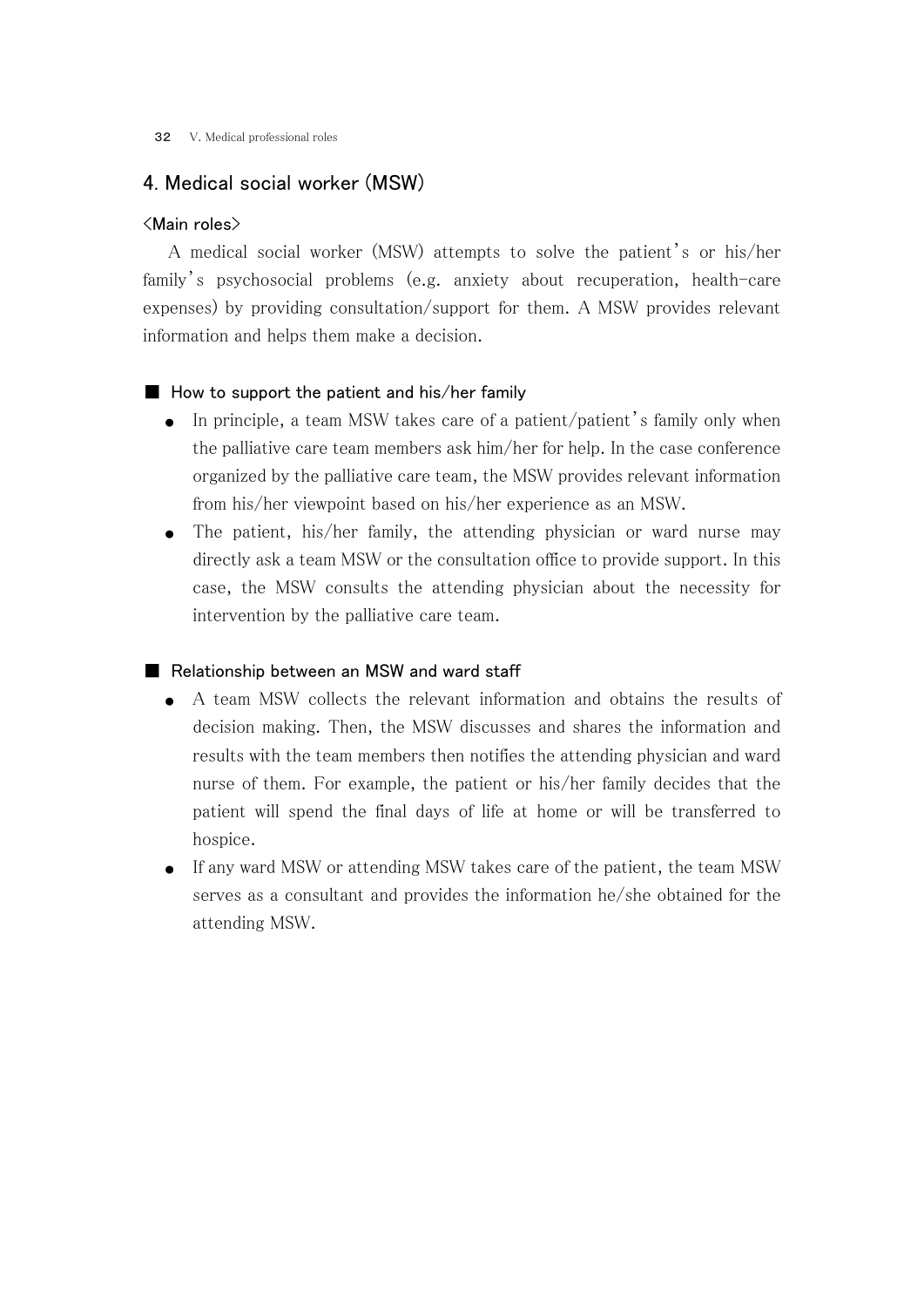## 4. Medical social worker (MSW)

#### <Main roles>

 A medical social worker (MSW) attempts to solve the patient's or his/her family's psychosocial problems (e.g. anxiety about recuperation, health-care expenses) by providing consultation/support for them. A MSW provides relevant information and helps them make a decision.

#### $\blacksquare$  How to support the patient and his/her family

- In principle, a team MSW takes care of a patient/patient's family only when the palliative care team members ask him/her for help. In the case conference organized by the palliative care team, the MSW provides relevant information from his/her viewpoint based on his/her experience as an MSW.
- The patient, his/her family, the attending physician or ward nurse may directly ask a team MSW or the consultation office to provide support. In this case, the MSW consults the attending physician about the necessity for intervention by the palliative care team.

#### ■ Relationship between an MSW and ward staff

- A team MSW collects the relevant information and obtains the results of decision making. Then, the MSW discusses and shares the information and results with the team members then notifies the attending physician and ward nurse of them. For example, the patient or his/her family decides that the patient will spend the final days of life at home or will be transferred to hospice.
- If any ward MSW or attending MSW takes care of the patient, the team MSW serves as a consultant and provides the information he/she obtained for the attending MSW.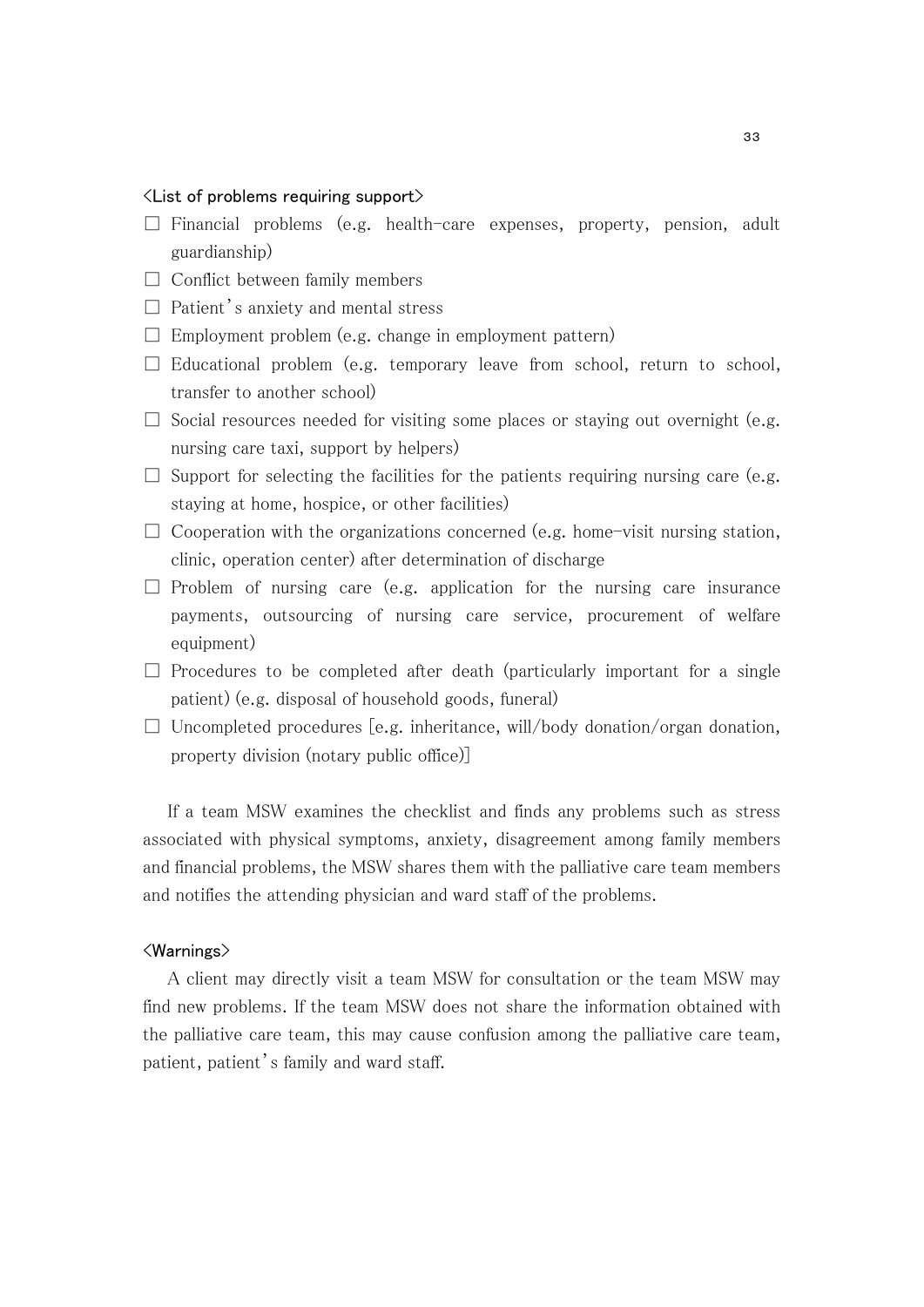#### $\langle$  List of problems requiring support $\rangle$

- $\square$  Financial problems (e.g. health-care expenses, property, pension, adult guardianship)
- $\Box$  Conflict between family members
- $\Box$  Patient's anxiety and mental stress
- $\square$  Employment problem (e.g. change in employment pattern)
- $\square$  Educational problem (e.g. temporary leave from school, return to school, transfer to another school)
- $\square$  Social resources needed for visiting some places or staying out overnight (e.g. nursing care taxi, support by helpers)
- $\square$  Support for selecting the facilities for the patients requiring nursing care (e.g. staying at home, hospice, or other facilities)
- $\Box$  Cooperation with the organizations concerned (e.g. home-visit nursing station, clinic, operation center) after determination of discharge
- $\square$  Problem of nursing care (e.g. application for the nursing care insurance payments, outsourcing of nursing care service, procurement of welfare equipment)
- $\square$  Procedures to be completed after death (particularly important for a single patient) (e.g. disposal of household goods, funeral)
- $\Box$  Uncompleted procedures [e.g. inheritance, will/body donation/organ donation, property division (notary public office)]

 If a team MSW examines the checklist and finds any problems such as stress associated with physical symptoms, anxiety, disagreement among family members and financial problems, the MSW shares them with the palliative care team members and notifies the attending physician and ward staff of the problems.

#### <Warnings>

 A client may directly visit a team MSW for consultation or the team MSW may find new problems. If the team MSW does not share the information obtained with the palliative care team, this may cause confusion among the palliative care team, patient, patient's family and ward staff.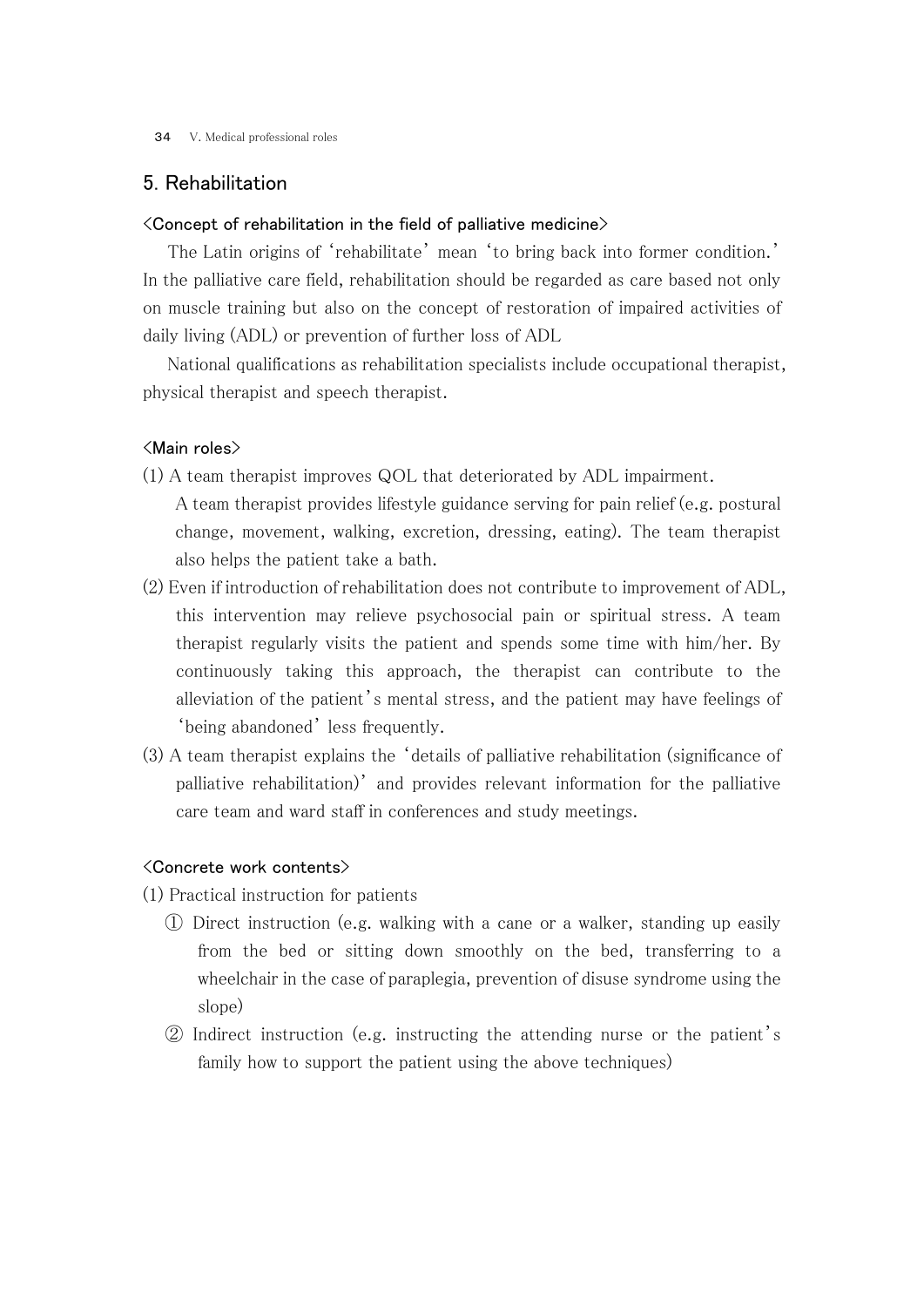34 V. Medical professional roles

## 5. Rehabilitation

#### <Concept of rehabilitation in the field of palliative medicine>

 The Latin origins of 'rehabilitate' mean 'to bring back into former condition.' In the palliative care field, rehabilitation should be regarded as care based not only on muscle training but also on the concept of restoration of impaired activities of daily living (ADL) or prevention of further loss of ADL

 National qualifications as rehabilitation specialists include occupational therapist, physical therapist and speech therapist.

#### <Main roles>

- (1) A team therapist improves QOL that deteriorated by ADL impairment.
	- A team therapist provides lifestyle guidance serving for pain relief (e.g. postural change, movement, walking, excretion, dressing, eating). The team therapist also helps the patient take a bath.
- (2) Even if introduction of rehabilitation does not contribute to improvement of ADL, this intervention may relieve psychosocial pain or spiritual stress. A team therapist regularly visits the patient and spends some time with him/her. By continuously taking this approach, the therapist can contribute to the alleviation of the patient's mental stress, and the patient may have feelings of 'being abandoned' less frequently.
- (3) A team therapist explains the 'details of palliative rehabilitation (significance of palliative rehabilitation)' and provides relevant information for the palliative care team and ward staff in conferences and study meetings.

#### <Concrete work contents>

- (1) Practical instruction for patients
	- ① Direct instruction (e.g. walking with a cane or a walker, standing up easily from the bed or sitting down smoothly on the bed, transferring to a wheelchair in the case of paraplegia, prevention of disuse syndrome using the slope)
	- ② Indirect instruction (e.g. instructing the attending nurse or the patient's family how to support the patient using the above techniques)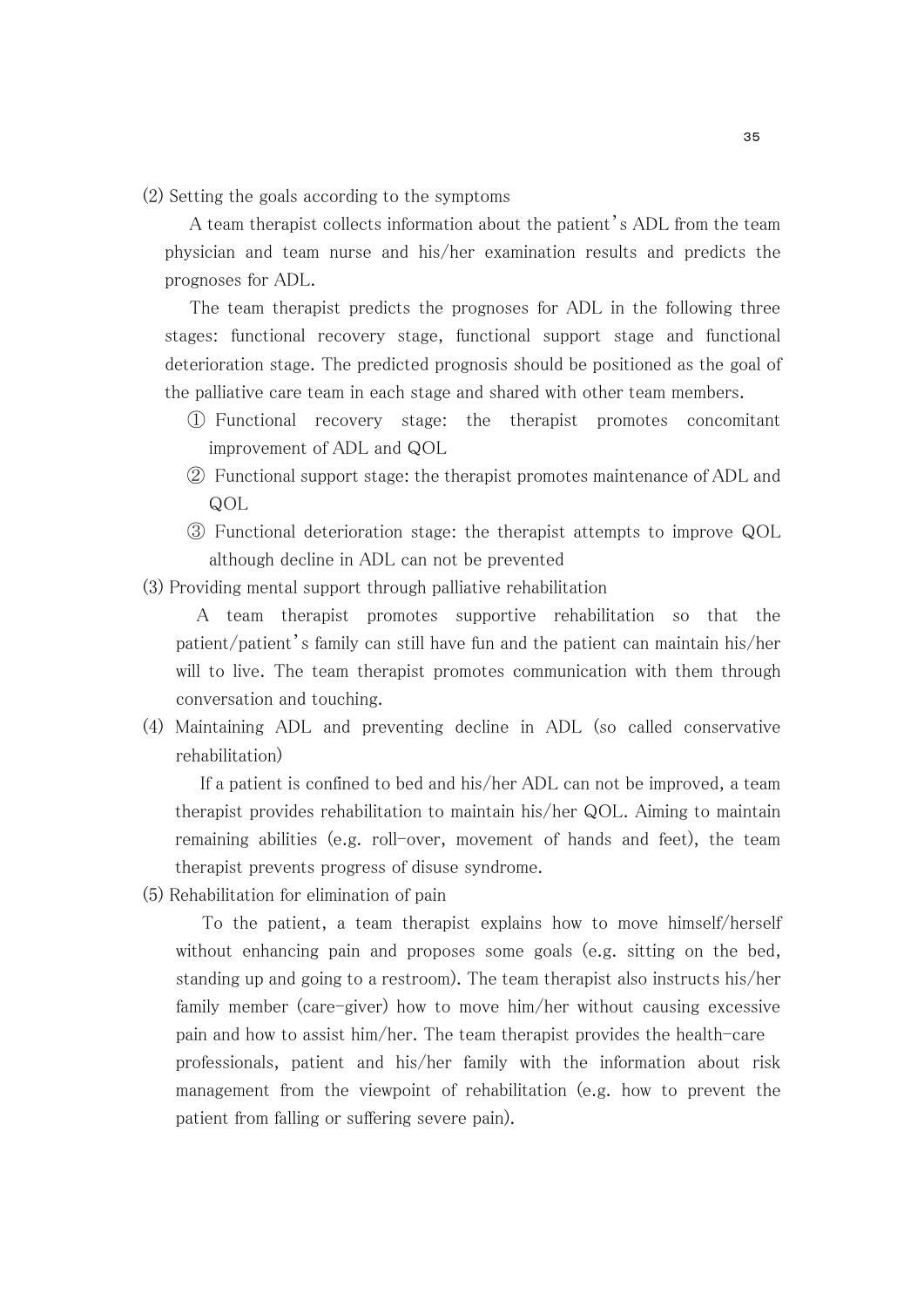(2) Setting the goals according to the symptoms

 A team therapist collects information about the patient's ADL from the team physician and team nurse and his/her examination results and predicts the prognoses for ADL.

 The team therapist predicts the prognoses for ADL in the following three stages: functional recovery stage, functional support stage and functional deterioration stage. The predicted prognosis should be positioned as the goal of the palliative care team in each stage and shared with other team members.

- ① Functional recovery stage: the therapist promotes concomitant improvement of ADL and QOL
- ② Functional support stage: the therapist promotes maintenance of ADL and QOL
- ③ Functional deterioration stage: the therapist attempts to improve QOL although decline in ADL can not be prevented

(3) Providing mental support through palliative rehabilitation

A team therapist promotes supportive rehabilitation so that the patient/patient's family can still have fun and the patient can maintain his/her will to live. The team therapist promotes communication with them through conversation and touching.

(4) Maintaining ADL and preventing decline in ADL (so called conservative rehabilitation)

 If a patient is confined to bed and his/her ADL can not be improved, a team therapist provides rehabilitation to maintain his/her QOL. Aiming to maintain remaining abilities (e.g. roll-over, movement of hands and feet), the team therapist prevents progress of disuse syndrome.

(5) Rehabilitation for elimination of pain

 To the patient, a team therapist explains how to move himself/herself without enhancing pain and proposes some goals (e.g. sitting on the bed, standing up and going to a restroom). The team therapist also instructs his/her family member (care-giver) how to move him/her without causing excessive pain and how to assist him/her. The team therapist provides the health-care professionals, patient and his/her family with the information about risk management from the viewpoint of rehabilitation (e.g. how to prevent the patient from falling or suffering severe pain).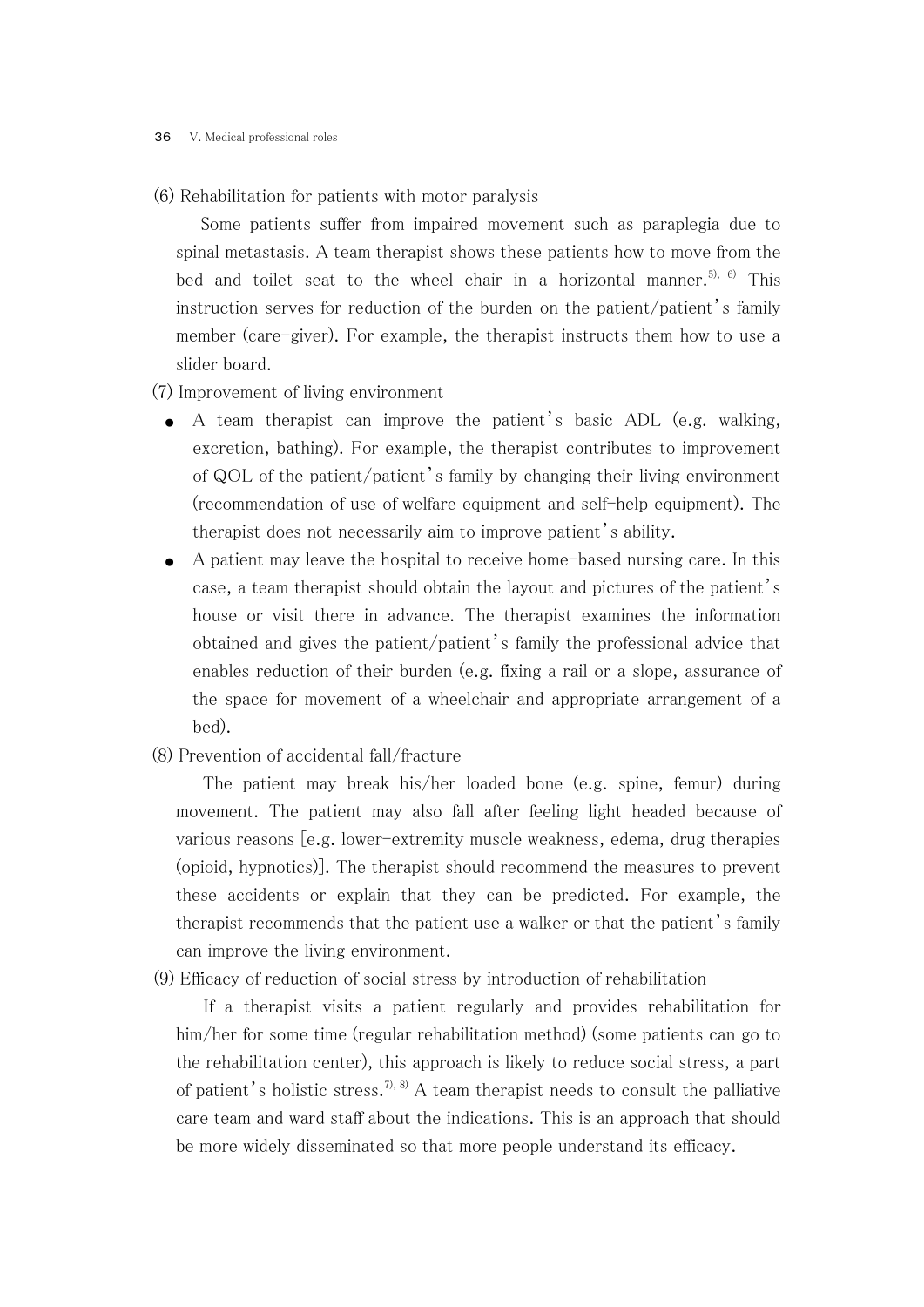(6) Rehabilitation for patients with motor paralysis

 Some patients suffer from impaired movement such as paraplegia due to spinal metastasis. A team therapist shows these patients how to move from the bed and toilet seat to the wheel chair in a horizontal manner.<sup>5), 6)</sup> This instruction serves for reduction of the burden on the patient/patient's family member (care-giver). For example, the therapist instructs them how to use a slider board.

#### (7) Improvement of living environment

- A team therapist can improve the patient's basic ADL (e.g. walking, excretion, bathing). For example, the therapist contributes to improvement of QOL of the patient/patient's family by changing their living environment (recommendation of use of welfare equipment and self-help equipment). The therapist does not necessarily aim to improve patient's ability.
- A patient may leave the hospital to receive home-based nursing care. In this case, a team therapist should obtain the layout and pictures of the patient's house or visit there in advance. The therapist examines the information obtained and gives the patient/patient's family the professional advice that enables reduction of their burden (e.g. fixing a rail or a slope, assurance of the space for movement of a wheelchair and appropriate arrangement of a bed).
- (8) Prevention of accidental fall/fracture

 The patient may break his/her loaded bone (e.g. spine, femur) during movement. The patient may also fall after feeling light headed because of various reasons [e.g. lower-extremity muscle weakness, edema, drug therapies (opioid, hypnotics)]. The therapist should recommend the measures to prevent these accidents or explain that they can be predicted. For example, the therapist recommends that the patient use a walker or that the patient's family can improve the living environment.

(9) Efficacy of reduction of social stress by introduction of rehabilitation

 If a therapist visits a patient regularly and provides rehabilitation for him/her for some time (regular rehabilitation method) (some patients can go to the rehabilitation center), this approach is likely to reduce social stress, a part of patient's holistic stress.<sup>7), 8)</sup> A team therapist needs to consult the palliative care team and ward staff about the indications. This is an approach that should be more widely disseminated so that more people understand its efficacy.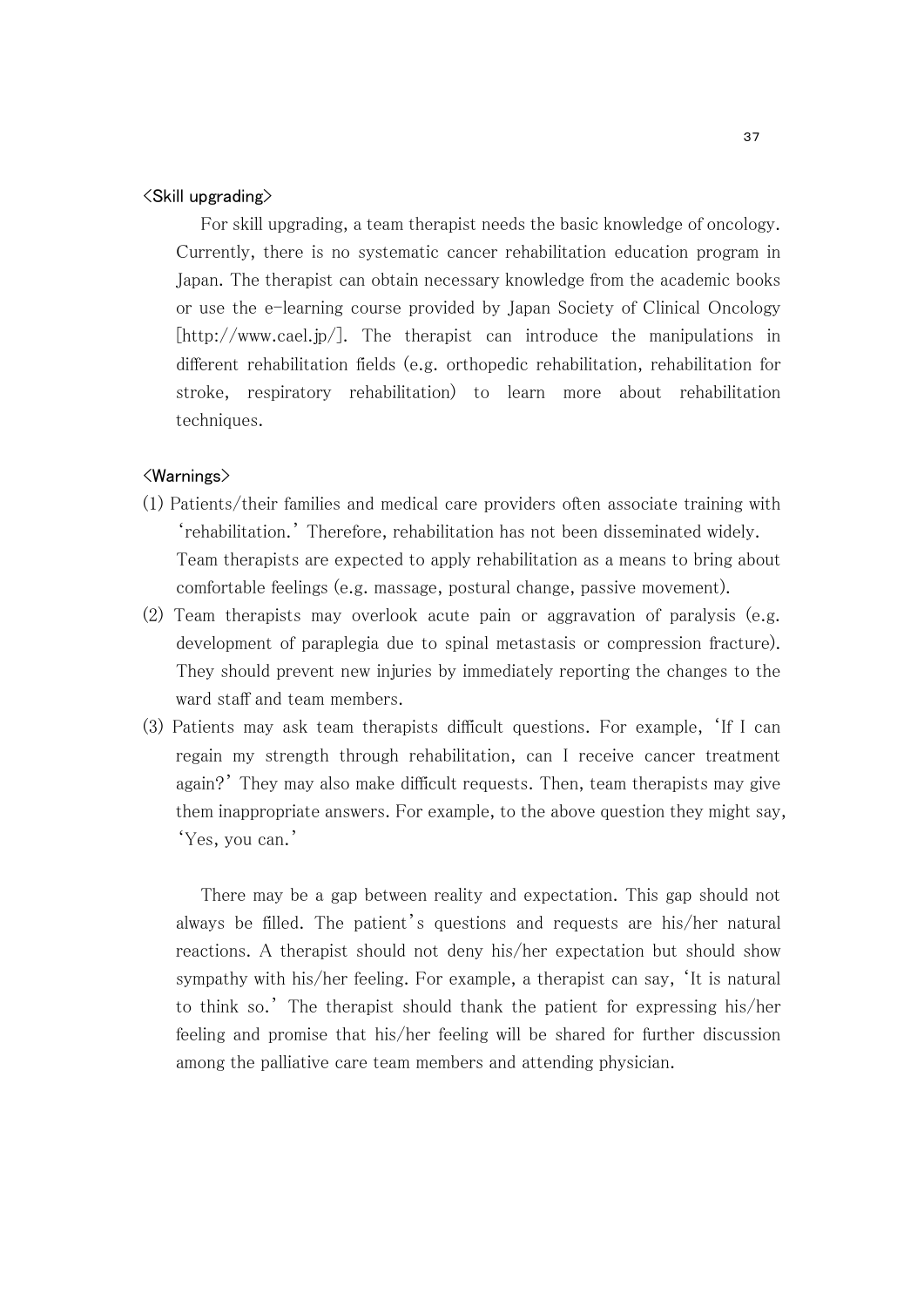#### <Skill upgrading>

 For skill upgrading, a team therapist needs the basic knowledge of oncology. Currently, there is no systematic cancer rehabilitation education program in Japan. The therapist can obtain necessary knowledge from the academic books or use the e-learning course provided by Japan Society of Clinical Oncology [http://www.cael.jp/]. The therapist can introduce the manipulations in different rehabilitation fields (e.g. orthopedic rehabilitation, rehabilitation for stroke, respiratory rehabilitation) to learn more about rehabilitation techniques.

#### <Warnings>

- (1) Patients/their families and medical care providers often associate training with 'rehabilitation.' Therefore, rehabilitation has not been disseminated widely. Team therapists are expected to apply rehabilitation as a means to bring about comfortable feelings (e.g. massage, postural change, passive movement).
- (2) Team therapists may overlook acute pain or aggravation of paralysis (e.g. development of paraplegia due to spinal metastasis or compression fracture). They should prevent new injuries by immediately reporting the changes to the ward staff and team members.
- (3) Patients may ask team therapists difficult questions. For example, 'If I can regain my strength through rehabilitation, can I receive cancer treatment again?' They may also make difficult requests. Then, team therapists may give them inappropriate answers. For example, to the above question they might say, 'Yes, you can.'

 There may be a gap between reality and expectation. This gap should not always be filled. The patient's questions and requests are his/her natural reactions. A therapist should not deny his/her expectation but should show sympathy with his/her feeling. For example, a therapist can say, 'It is natural to think so.' The therapist should thank the patient for expressing his/her feeling and promise that his/her feeling will be shared for further discussion among the palliative care team members and attending physician.